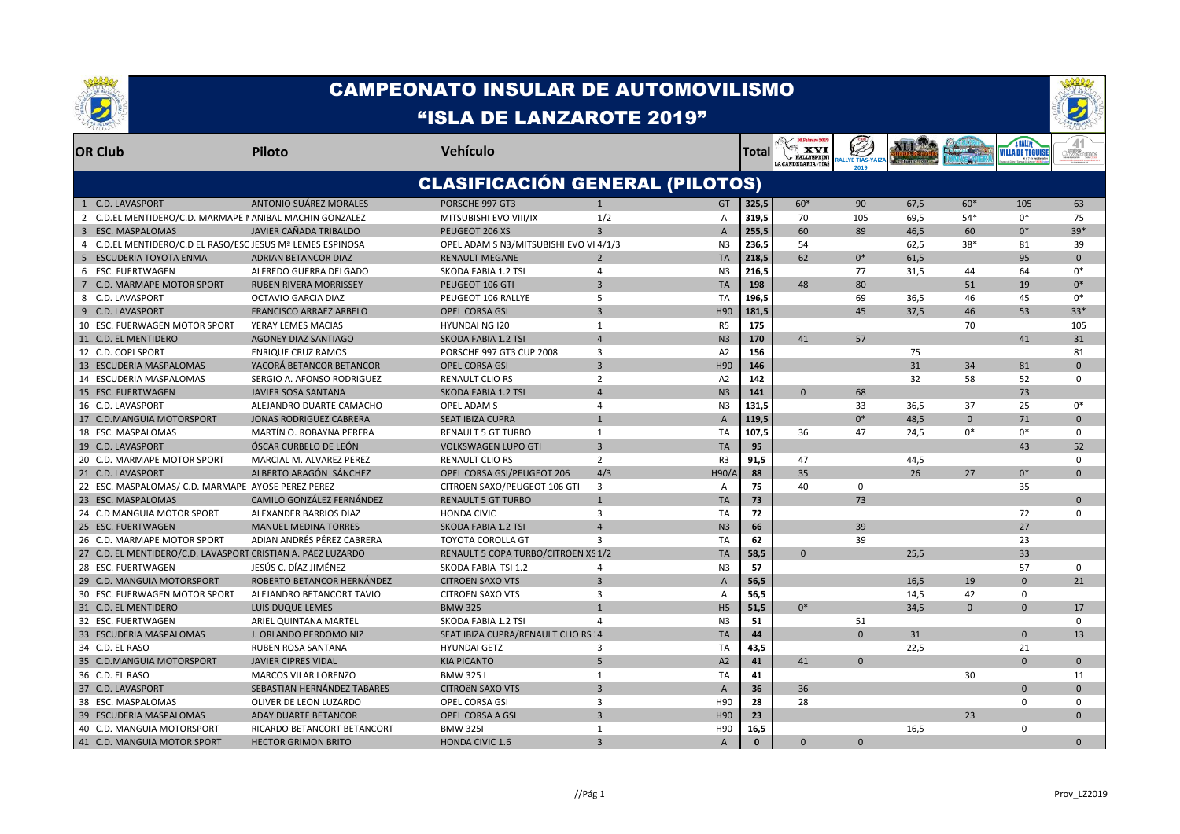



|               | <b>OR Club</b>                                            | <b>Piloto</b>                  | Vehículo                               |                         |                | Total    | XVI<br><b>RALLYSPRINT</b><br>LA CANDELARIA - TÍAS | RALLYE TIAS-YAIZ |      |              | <b><i>i</i>ILLA DE TEGUISI</b> |             |
|---------------|-----------------------------------------------------------|--------------------------------|----------------------------------------|-------------------------|----------------|----------|---------------------------------------------------|------------------|------|--------------|--------------------------------|-------------|
|               |                                                           |                                | <b>CLASIFICACIÓN GENERAL (PILOTOS)</b> |                         |                |          |                                                   |                  |      |              |                                |             |
| 1             | <b>C.D. LAVASPORT</b>                                     | ANTONIO SUÁREZ MORALES         | PORSCHE 997 GT3                        | $\mathbf{1}$            | <b>GT</b>      | 325,5    | $60*$                                             | 90               | 67,5 | $60*$        | 105                            | 63          |
| $\mathcal{P}$ | C.D.EL MENTIDERO/C.D. MARMAPE I ANIBAL MACHIN GONZALEZ    |                                | MITSUBISHI EVO VIII/IX                 | 1/2                     | $\overline{A}$ | 319,5    | 70                                                | 105              | 69.5 | 54*          | $0*$                           | 75          |
| 3             | <b>ESC. MASPALOMAS</b>                                    | JAVIER CAÑADA TRIBALDO         | PEUGEOT 206 XS                         | $\overline{3}$          | $\mathsf{A}$   | 255,5    | 60                                                | 89               | 46.5 | 60           | $0^*$                          | $39*$       |
|               | C.D.EL MENTIDERO/C.D EL RASO/ESC JESUS Mª LEMES ESPINOSA  |                                | OPEL ADAM S N3/MITSUBISHI EVO VI 4/1/3 |                         | N <sub>3</sub> | 236,5    | 54                                                |                  | 62,5 | $38*$        | 81                             | 39          |
| 5             | <b>ESCUDERIA TOYOTA ENMA</b>                              | <b>ADRIAN BETANCOR DIAZ</b>    | <b>RENAULT MEGANE</b>                  | $\overline{2}$          | <b>TA</b>      | 218.5    | 62                                                | $0^*$            | 61.5 |              | 95                             | $\Omega$    |
| 6             | ESC. FUERTWAGEN                                           | ALFREDO GUERRA DELGADO         | SKODA FABIA 1.2 TSI                    | 4                       | N <sub>3</sub> | 216,5    |                                                   | 77               | 31,5 | 44           | 64                             | $0*$        |
|               | C.D. MARMAPE MOTOR SPORT                                  | <b>RUBEN RIVERA MORRISSEY</b>  | PEUGEOT 106 GTI                        | $\overline{3}$          | <b>TA</b>      | 198      | 48                                                | 80               |      | 51           | 19                             | $0*$        |
| 8             | C.D. LAVASPORT                                            | OCTAVIO GARCIA DIAZ            | PEUGEOT 106 RALLYE                     | 5                       | <b>TA</b>      | 196,5    |                                                   | 69               | 36,5 | 46           | 45                             | $0*$        |
| 9             | <b>C.D. LAVASPORT</b>                                     | <b>FRANCISCO ARRAEZ ARBELO</b> | <b>OPEL CORSA GSI</b>                  | $\overline{3}$          | H90            | 181,5    |                                                   | 45               | 37.5 | 46           | 53                             | $33*$       |
| 10            | ESC. FUERWAGEN MOTOR SPORT                                | YERAY LEMES MACIAS             | <b>HYUNDAI NG 120</b>                  | $\mathbf{1}$            | R <sub>5</sub> | 175      |                                                   |                  |      | 70           |                                | 105         |
| 11            | <b>C.D. EL MENTIDERO</b>                                  | <b>AGONEY DIAZ SANTIAGO</b>    | SKODA FABIA 1.2 TSI                    | $\overline{a}$          | N <sub>3</sub> | 170      | 41                                                | 57               |      |              | 41                             | 31          |
| 12            | <b>C.D. COPI SPORT</b>                                    | <b>ENRIQUE CRUZ RAMOS</b>      | <b>PORSCHE 997 GT3 CUP 2008</b>        | 3                       | A2             | 156      |                                                   |                  | 75   |              |                                | 81          |
| 13            | <b>ESCUDERIA MASPALOMAS</b>                               | YACORÁ BETANCOR BETANCOR       | <b>OPEL CORSA GSI</b>                  | $\overline{3}$          | H90            | 146      |                                                   |                  | 31   | 34           | 81                             | $\Omega$    |
| 14            | ESCUDERIA MASPALOMAS                                      | SERGIO A. AFONSO RODRIGUEZ     | <b>RENAULT CLIO RS</b>                 | $\overline{2}$          | A <sub>2</sub> | 142      |                                                   |                  | 32   | 58           | 52                             | $\Omega$    |
| 15            | <b>ESC. FUERTWAGEN</b>                                    | <b>JAVIER SOSA SANTANA</b>     | SKODA FABIA 1.2 TSI                    | $\overline{a}$          | N <sub>3</sub> | 141      | $\Omega$                                          | 68               |      |              | 73                             |             |
| 16            | C.D. LAVASPORT                                            | ALEJANDRO DUARTE CAMACHO       | OPEL ADAM S                            | $\overline{4}$          | N <sub>3</sub> | 131,5    |                                                   | 33               | 36,5 | 37           | 25                             | $0*$        |
| 17            | <b>C.D.MANGUIA MOTORSPORT</b>                             | <b>JONAS RODRIGUEZ CABRERA</b> | <b>SEAT IBIZA CUPRA</b>                | $\overline{1}$          | $\overline{A}$ | 119,5    |                                                   | $0*$             | 48.5 | $\Omega$     | 71                             | $\Omega$    |
| 18            | <b>ESC. MASPALOMAS</b>                                    | MARTÍN O. ROBAYNA PERERA       | <b>RENAULT 5 GT TURBO</b>              | $\mathbf{1}$            | <b>TA</b>      | 107.5    | 36                                                | 47               | 24.5 | $0*$         | $0*$                           | $\Omega$    |
| 19            | <b>C.D. LAVASPORT</b>                                     | ÓSCAR CURBELO DE LEÓN          | <b>VOLKSWAGEN LUPO GTI</b>             | $\overline{3}$          | <b>TA</b>      | 95       |                                                   |                  |      |              | 43                             | 52          |
| 20            | C.D. MARMAPE MOTOR SPORT                                  | MARCIAL M. ALVAREZ PEREZ       | <b>RENAULT CLIO RS</b>                 | $\overline{2}$          | R <sub>3</sub> | 91,5     | 47                                                |                  | 44,5 |              |                                | $\Omega$    |
| 21            | <b>C.D. LAVASPORT</b>                                     | ALBERTO ARAGÓN SÁNCHEZ         | OPEL CORSA GSI/PEUGEOT 206             | 4/3                     | <b>H90/A</b>   | 88       | 35                                                |                  | 26   | 27           | $0*$                           | $\Omega$    |
| 22            | ESC. MASPALOMAS/ C.D. MARMAPE AYOSE PEREZ PEREZ           |                                | CITROEN SAXO/PEUGEOT 106 GTI           | 3                       | A              | 75       | 40                                                | $\mathbf 0$      |      |              | 35                             |             |
| 23            | <b>ESC. MASPALOMAS</b>                                    | CAMILO GONZÁLEZ FERNÁNDEZ      | <b>RENAULT 5 GT TURBO</b>              | $\mathbf{1}$            | <b>TA</b>      | 73       |                                                   | 73               |      |              |                                | $\Omega$    |
| 24            | C.D MANGUIA MOTOR SPORT                                   | ALEXANDER BARRIOS DIAZ         | <b>HONDA CIVIC</b>                     | 3                       | TA             | 72       |                                                   |                  |      |              | 72                             | $\mathbf 0$ |
| 25            | <b>ESC. FUERTWAGEN</b>                                    | <b>MANUEL MEDINA TORRES</b>    | SKODA FABIA 1.2 TSI                    | $\overline{a}$          | N <sub>3</sub> | 66       |                                                   | 39               |      |              | 27                             |             |
| 26            | C.D. MARMAPE MOTOR SPORT                                  | ADIAN ANDRÉS PÉREZ CABRERA     | <b>TOYOTA COROLLA GT</b>               | $\overline{3}$          | <b>TA</b>      | 62       |                                                   | 39               |      |              | 23                             |             |
| 27            | C.D. EL MENTIDERO/C.D. LAVASPORT CRISTIAN A. PÁEZ LUZARDO |                                | RENAULT 5 COPA TURBO/CITROEN XS 1/2    |                         | <b>TA</b>      | 58,5     | $\Omega$                                          |                  | 25,5 |              | 33                             |             |
| 28            | <b>ESC. FUERTWAGEN</b>                                    | JESÚS C. DÍAZ JIMÉNEZ          | SKODA FABIA TSI 1.2                    | 4                       | N <sub>3</sub> | 57       |                                                   |                  |      |              | 57                             | $\Omega$    |
| 29            | <b>C.D. MANGUIA MOTORSPORT</b>                            | ROBERTO BETANCOR HERNÁNDEZ     | <b>CITROEN SAXO VTS</b>                | $\overline{3}$          | $\overline{A}$ | 56,5     |                                                   |                  | 16.5 | 19           | $\Omega$                       | 21          |
| 30            | <b>ESC. FUERWAGEN MOTOR SPORT</b>                         | ALEJANDRO BETANCORT TAVIO      | <b>CITROEN SAXO VTS</b>                | 3                       | A              | 56,5     |                                                   |                  | 14,5 | 42           | $\Omega$                       |             |
| 31            | <b>C.D. EL MENTIDERO</b>                                  | <b>LUIS DUQUE LEMES</b>        | <b>BMW 325</b>                         | $\overline{1}$          | H <sub>5</sub> | 51.5     | $0*$                                              |                  | 34.5 | $\mathbf{0}$ | $\mathbf{0}$                   | 17          |
| 32            | <b>ESC. FUERTWAGEN</b>                                    | ARIEL QUINTANA MARTEL          | SKODA FABIA 1.2 TSI                    | $\overline{4}$          | N <sub>3</sub> | 51       |                                                   | 51               |      |              |                                | $\mathbf 0$ |
| 33            | <b>ESCUDERIA MASPALOMAS</b>                               | J. ORLANDO PERDOMO NIZ         | SEAT IBIZA CUPRA/RENAULT CLIO RS : 4   |                         | <b>TA</b>      | 44       |                                                   | $\overline{0}$   | 31   |              | $\Omega$                       | 13          |
| 34            | C.D. EL RASO                                              | RUBEN ROSA SANTANA             | <b>HYUNDAI GETZ</b>                    | $\overline{3}$          | <b>TA</b>      | 43,5     |                                                   |                  | 22,5 |              | 21                             |             |
| 35            | <b>C.D.MANGUIA MOTORSPORT</b>                             | <b>JAVIER CIPRES VIDAL</b>     | <b>KIA PICANTO</b>                     | 5                       | A2             | 41       | 41                                                | $\Omega$         |      |              | $\Omega$                       | $\Omega$    |
| 36            | C.D. EL RASO                                              | <b>MARCOS VILAR LORENZO</b>    | <b>BMW 3251</b>                        | 1                       | <b>TA</b>      | 41       |                                                   |                  |      | 30           |                                | 11          |
| 37            | <b>C.D. LAVASPORT</b>                                     | SEBASTIAN HERNÁNDEZ TABARES    | <b>CITROËN SAXO VTS</b>                | $\overline{\mathbf{3}}$ | $\overline{A}$ | 36       | 36                                                |                  |      |              | $\Omega$                       | $\Omega$    |
| 38            | <b>ESC. MASPALOMAS</b>                                    | OLIVER DE LEON LUZARDO         | OPEL CORSA GSI                         | 3                       | H90            | 28       | 28                                                |                  |      |              | $\Omega$                       | $\Omega$    |
| 39            | <b>ESCUDERIA MASPALOMAS</b>                               | <b>ADAY DUARTE BETANCOR</b>    | <b>OPEL CORSA A GSI</b>                | $\overline{3}$          | H90            | 23       |                                                   |                  |      | 23           |                                | $\Omega$    |
| 40            | C.D. MANGUIA MOTORSPORT                                   | RICARDO BETANCORT BETANCORT    | <b>BMW 3251</b>                        | $\mathbf{1}$            | H90            | 16,5     |                                                   |                  | 16,5 |              | $\mathbf 0$                    |             |
|               | 41 C.D. MANGUIA MOTOR SPORT                               | <b>HECTOR GRIMON BRITO</b>     | <b>HONDA CIVIC 1.6</b>                 | $\overline{3}$          | $\mathsf{A}$   | $\Omega$ | $\Omega$                                          | $\Omega$         |      |              |                                | $\Omega$    |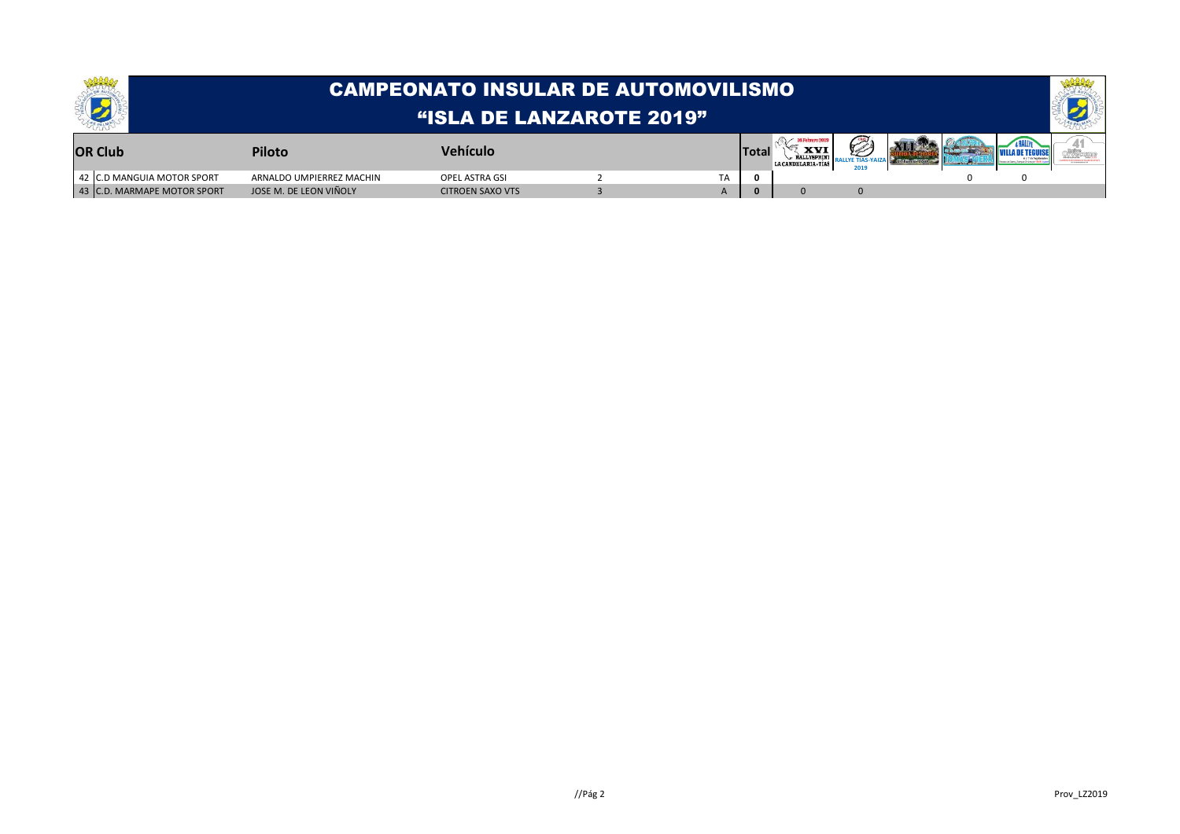|                             | CAMPEONATO INSULAR DE AUTOMOVILISMO ! |                         |  |    |              |                                  |  |  |  |  |  |  |
|-----------------------------|---------------------------------------|-------------------------|--|----|--------------|----------------------------------|--|--|--|--|--|--|
|                             | <b>HISLA DE LANZAROTE 2019"</b>       |                         |  |    |              |                                  |  |  |  |  |  |  |
| <b>OR Club</b>              | Piloto                                | <b>Vehículo</b>         |  |    | <b>Total</b> | <b>XV</b><br>LA CANDELARIA - TIA |  |  |  |  |  |  |
| 42 C.D MANGUIA MOTOR SPORT  | ARNALDO UMPIERREZ MACHIN              | OPEL ASTRA GSI          |  | ТA |              |                                  |  |  |  |  |  |  |
| 43 C.D. MARMAPE MOTOR SPORT | JOSE M. DE LEON VIÑOLY                | <b>CITROEN SAXO VTS</b> |  |    |              |                                  |  |  |  |  |  |  |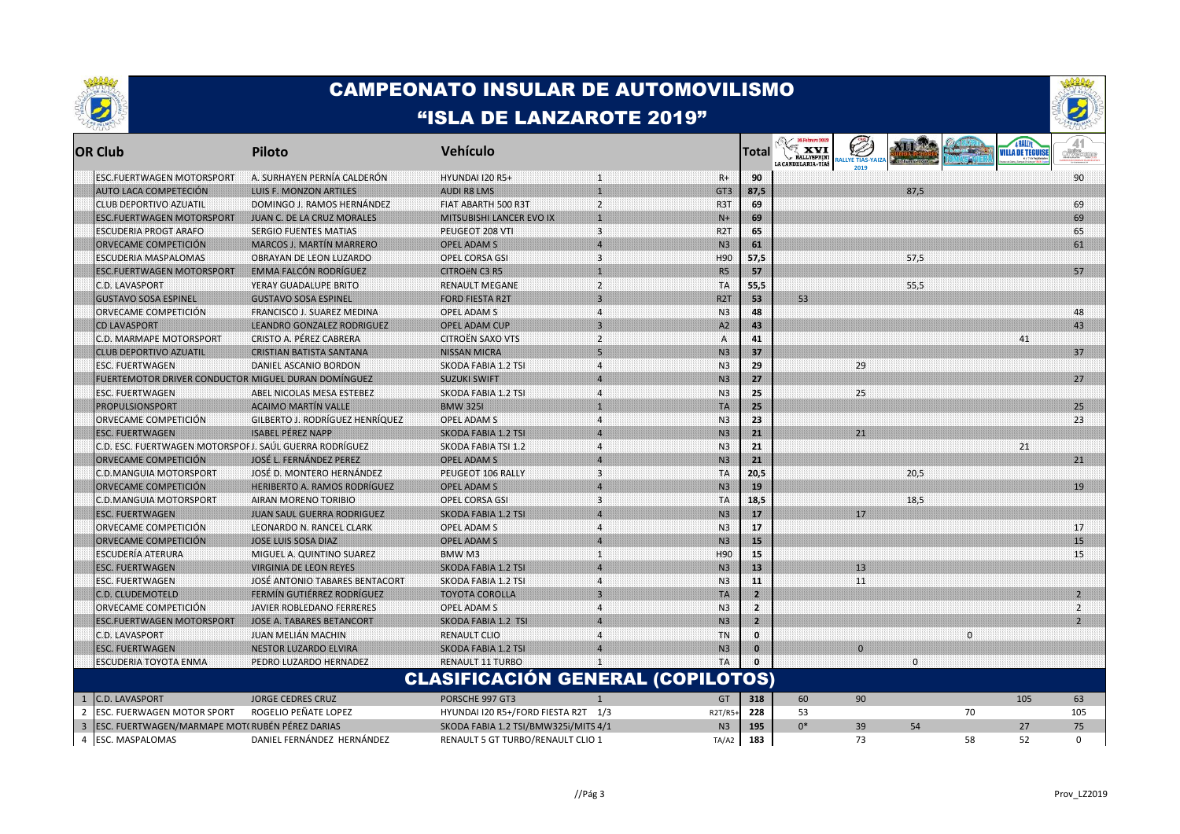



|                | <b>OR Club</b>                                         | <b>Piloto</b>                          | <b>Vehículo</b>                          |                         |                      | Total        | <b>Example 16 Petero 2019</b><br>RALLYSPRINT<br>LA CANDELARIA·TIAS |          |          | மையி ந      | <b>VILLA DE TEGUISE</b> | of Weberne     |
|----------------|--------------------------------------------------------|----------------------------------------|------------------------------------------|-------------------------|----------------------|--------------|--------------------------------------------------------------------|----------|----------|-------------|-------------------------|----------------|
|                | ESC.FUERTWAGEN MOTORSPORT                              | A. SURHAYEN PERNÍA CALDERÓN            | <b>HYUNDAI 120 R5+</b>                   | 11                      | $R+$                 | 90           |                                                                    |          |          |             |                         | 90             |
|                | AUTO LACA COMPETECIÓN                                  | LUIS F. MONZON ARTILES                 | <b>AUDI R8 LMS</b>                       | n                       | GT3                  | 87,5         |                                                                    |          | 87,5     |             |                         |                |
|                | CLUB DEPORTIVO AZUATIL                                 | DOMINGO J. RAMOS HERNÁNDEZ             | FIAT ABARTH 500 R3T                      | $\overline{2}$          | R3T                  | 69           |                                                                    |          |          |             |                         | 69             |
|                | <b>ESC.FUERTWAGEN MOTORSPORT</b>                       | <b>JUAN C. DE LA CRUZ MORALES</b>      | <b>MITSUBISHI LANCER EVO IX</b>          | 11                      | $N+$                 | 69           |                                                                    |          |          |             |                         | 69             |
|                | ESCUDERIA PROGT ARAFO                                  | <b>SERGIO FUENTES MATIAS</b>           | PEUGEOT 208 VTI                          | $\overline{\mathbf{3}}$ | R2T                  | 65           |                                                                    |          |          |             |                         | 65             |
|                | ORVECAME COMPETICIÓN                                   | <b>MARCOS J. MARTÍN MARRERO</b>        | OPEL ADAM S                              | $\overline{A}$          | N <sub>3</sub>       | 61           |                                                                    |          |          |             |                         | 61             |
|                | ESCUDERIA MASPALOMAS                                   | OBRAYAN DE LEON LUZARDO                | OPEL CORSA GSI                           | $\overline{\mathbf{3}}$ | H90                  | 57,5         |                                                                    |          | 57,5     |             |                         |                |
|                | <b>ESC.FUERTWAGEN MOTORSPORT</b>                       | <b>EMMA FALCON RODRIGUEZ</b>           | <b>CITROEN C3 R5</b>                     | $\mathbf{1}$            | <b>R5</b>            | 57           |                                                                    |          |          |             |                         | 57             |
|                | C.D. LAVASPORT                                         | YERAY GUADALUPE BRITO                  | <b>RENAULT MEGANE</b>                    | $\overline{2}$          | TA                   | 55,5         |                                                                    |          | 55,5     |             |                         |                |
|                | <b>GUSTAVO SOSA ESPINEL</b>                            | <b>GUSTAVO SOSA ESPINEL</b>            | <b>FORD FIESTA R2T</b>                   | 3 <sup>1</sup>          | R2T                  | 53           | 53                                                                 |          |          |             |                         |                |
|                | ORVECAME COMPETICION                                   | FRANCISCO J. SUAREZ MEDINA             | OPEL ADAM S                              | $\overline{\mathbf{4}}$ | N <sub>3</sub>       | 48           |                                                                    |          |          |             |                         | 48             |
|                | <b>CD LAVASPORT</b>                                    | LEANDRO GONZALEZ RODRIGUEZ             | OPEL ADAM CUP                            | $\overline{\mathbf{a}}$ | A2                   | 43           |                                                                    |          |          |             |                         | 43             |
|                | C.D. MARMAPE MOTORSPORT                                | CRISTO A. PEREZ CABRERA                | <b>CITROEN SAXO VTS</b>                  | $\overline{2}$          | $\mathsf{A}$         | 41           |                                                                    |          |          |             | 41                      |                |
|                | CLUB DEPORTIVO AZUATIL                                 | <b>CRISTIAN BATISTA SANTANA</b>        | <b>NISSAN MICRA</b>                      | 51                      | N3                   | 37           |                                                                    |          |          |             |                         | 37             |
|                | <b>ESC. FUERTWAGEN</b>                                 | DANIEL ASCANIO BORDON                  | <b>SKODA FABIA 1.2 TSI</b>               | $\overline{4}$          | N <sub>3</sub>       | 29           |                                                                    | 29       |          |             |                         |                |
|                | FUERTEMOTOR DRIVER CONDUCTOR MIGUEL DURAN DOMINGUEZ    |                                        | <b>SUZUKI SWIFT</b>                      | $\boldsymbol{\Lambda}$  | N <sub>3</sub>       | 27           |                                                                    |          |          |             |                         | 27             |
|                | ESC. FUERTWAGEN                                        | ABEL NICOLAS MESA ESTEBEZ              | SKODA FABIA 1.2 TSI                      | $\overline{4}$          | N <sub>3</sub>       | 25           |                                                                    | 25       |          |             |                         |                |
|                | PROPULSIONSPORT                                        | <b>ACAIMO MARTÍN VALLE</b>             | <b>BMW 3251</b>                          | m                       | <b>TA</b>            | 25           |                                                                    |          |          |             |                         | 25             |
|                | ORVECAME COMPETICION                                   | <b>GILBERTO J. RODRÍGUEZ HENRÍQUEZ</b> | OPEL ADAM S                              | $\boldsymbol{\Lambda}$  | N <sub>3</sub>       | -23          |                                                                    |          |          |             |                         | 23             |
|                | <b>ESC. FUERTWAGEN</b>                                 | <b>ISABEL PÉREZ NAPP</b>               | SKODA FABIA 1.2 TSI                      | $\overline{4}$          | N <sub>3</sub>       | 21           |                                                                    | 21       |          |             |                         |                |
|                | C.D. ESC. FUERTWAGEN MOTORSPOFJ. SAÚL GUERRA RODRÍGUEZ |                                        | <b>SKODA FABIA TSI 1.2</b>               | $\overline{a}$          | N <sub>3</sub>       | 21           |                                                                    |          |          |             | 21                      |                |
|                | ORVECAME COMPETICIÓN                                   | <b>JOSÉ L. FERNÁNDEZ PEREZ</b>         | <b>OPEL ADAM S</b>                       | $\overline{a}$          | N3                   | 21           |                                                                    |          |          |             |                         | 21             |
|                | C.D.MANGUIA MOTORSPORT                                 | JOSÉ D. MONTERO HERNÁNDEZ              | PEUGEOT 106 RALLY                        | $\overline{\mathbf{3}}$ | <b>TA</b>            | 20,5         |                                                                    |          | 20.5     |             |                         |                |
|                | ORVECAME COMPETICIÓN                                   | <b>HERIBERTO A. RAMOS RODRÍGUEZ</b>    | OPEL ADAM S                              | $\overline{4}$          | N <sub>3</sub>       | 19           |                                                                    |          |          |             |                         | 19             |
|                | C.D.MANGUIA MOTORSPORT                                 | AIRAN MORENO TORIBIO                   | OPEL CORSA GSI                           | 3                       | <b>TA</b>            | 18,5         |                                                                    |          | 18,5     |             |                         |                |
|                | <b>ESC. FUERTWAGEN</b>                                 | <b>JUAN SAUL GUERRA RODRIGUEZ</b>      | <b>SKODA FABIA 1.2 TSI</b>               | $\overline{4}$          | N3                   | 17           |                                                                    | 17       |          |             |                         |                |
|                | ORVECAME COMPETICIÓN                                   | LEONARDO N. RANCEL CLARK               | OPEL ADAM S                              | $\overline{4}$          | N <sub>3</sub>       | 17           |                                                                    |          |          |             |                         | 17             |
|                | ORVECAME COMPETICIÓN                                   | <b>JOSE LUIS SOSA DIAZ</b>             | <b>OPEL ADAM S</b>                       | $\overline{4}$          | N <sub>3</sub>       | 15           |                                                                    |          |          |             |                         | 15             |
|                | ESCUDERÍA ATERURA                                      | MIGUEL A. QUINTINO SUAREZ              | BMW M3                                   | $\mathbf{1}$            | H90                  | 15           |                                                                    |          |          |             |                         | 15             |
|                | <b>ESC. FUERTWAGEN</b>                                 | <b>VIRGINIA DE LEON REYES</b>          | <b>SKODA FABIA 1.2 TSI</b>               | $\overline{A}$          | N3                   | 13           |                                                                    | 13       |          |             |                         |                |
|                | ESC. FUERTWAGEN                                        | JOSE ANTONIO TABARES BENTACORT         | <b>SKODA FABIA 1.2 TSI</b>               | $\overline{4}$          | N <sub>3</sub>       | 11           |                                                                    | 11       |          |             |                         |                |
|                |                                                        | <b>FERMIN GUTIERREZ RODRIGUEZ</b>      | <b>TOYOTA COROLLA</b>                    | 3 <sup>1</sup>          |                      | $\mathbf{z}$ |                                                                    |          |          |             |                         | $\mathbf{2}$   |
|                | C.D. CLUDEMOTELD                                       | JAVIER ROBLEDANO FERRERES              | OPEL ADAM S                              | $\boldsymbol{\Lambda}$  | TA<br>N <sub>3</sub> | -2           |                                                                    |          |          |             |                         | $\overline{2}$ |
|                | ORVECAME COMPETICIÓN                                   |                                        |                                          |                         | N3                   | ⋗            |                                                                    |          |          |             |                         | $\overline{2}$ |
|                | <b>ESC.FUERTWAGEN MOTORSPORT</b>                       | JOSE A. TABARES BETANCORT              | SKODA FABIA 1.2 TSI                      |                         |                      |              |                                                                    |          |          |             |                         |                |
|                | C.D. LAVASPORT                                         | JUAN MELIAN MACHIN                     | <b>RENAULT CLIO</b>                      | 4                       | TN                   | $\mathbf{0}$ |                                                                    |          |          | $\mathbf 0$ |                         |                |
|                | <b>ESC. FUERTWAGEN</b>                                 | <b>NESTOR LUZARDO ELVIRA</b>           | <b>SKODA FABIA 1.2 TSI</b>               | $\boldsymbol{\Lambda}$  | N3                   | $\mathbf{0}$ |                                                                    | $\Omega$ |          |             |                         |                |
|                | <b>ESCUDERIA TOYOTA ENMA</b>                           | PEDRO LUZARDO HERNADEZ                 | RENAULT 11 TURBO                         | п                       | TA                   |              |                                                                    |          | $\Omega$ |             |                         |                |
|                |                                                        |                                        | <b>CLASIFICACIÓN GENERAL (COPILOTOS)</b> |                         |                      |              |                                                                    |          |          |             |                         |                |
| $\mathbf{1}$   | <b>C.D. LAVASPORT</b>                                  | <b>JORGE CEDRES CRUZ</b>               | PORSCHE 997 GT3                          |                         | GT                   | 318          | 60                                                                 | 90       |          |             | 105                     | 63             |
| $\overline{2}$ | ESC. FUERWAGEN MOTOR SPORT                             | ROGELIO PEÑATE LOPEZ                   | HYUNDAI I20 R5+/FORD FIESTA R2T 1/3      |                         | R2T/R5-              | 228          | 53                                                                 |          |          | 70          |                         | 105            |
| $\overline{3}$ | ESC. FUERTWAGEN/MARMAPE MOT(RUBÉN PÉREZ DARIAS         |                                        | SKODA FABIA 1.2 TSI/BMW325i/MITS 4/1     |                         | N <sub>3</sub>       | 195          | $0*$                                                               | 39       | 54       |             | 27                      | 75             |
| $\overline{4}$ | ESC. MASPALOMAS                                        | DANIEL FERNÁNDEZ HERNÁNDEZ             | RENAULT 5 GT TURBO/RENAULT CLIO 1        |                         | TA/A2                | 183          |                                                                    | 73       |          | 58          | 52                      | $\mathbf 0$    |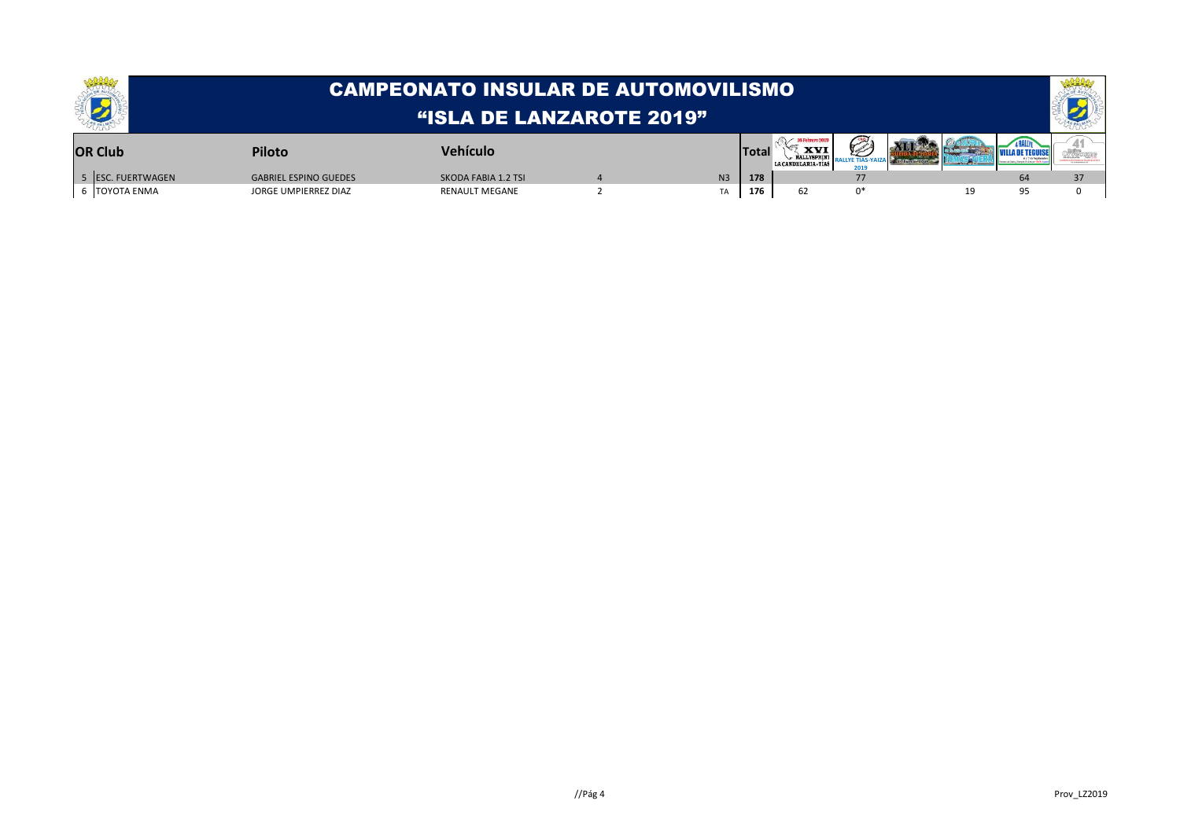|                   | CAMPEONATO INSULAR DE AUTOMOVILISMO |                       |  |  |              |                                   |    |  |    |  |  |  |
|-------------------|-------------------------------------|-----------------------|--|--|--------------|-----------------------------------|----|--|----|--|--|--|
|                   | "ISLA DE LANZAROTE 2019"            |                       |  |  |              |                                   |    |  |    |  |  |  |
| <b>OR Club</b>    | <b>Piloto</b>                       | Vehículo              |  |  | <b>Total</b> | <b>XVI</b><br>LA CANDELARIA, TIAS |    |  |    |  |  |  |
| 5 ESC. FUERTWAGEN | <b>GABRIEL ESPINO GUEDES</b>        | SKODA FABIA 1.2 TSI   |  |  | 178          |                                   |    |  | 64 |  |  |  |
| 6 TOYOTA ENMA     | JORGE UMPIERREZ DIAZ                | <b>RENAULT MEGANE</b> |  |  | 176          | 62                                | n* |  |    |  |  |  |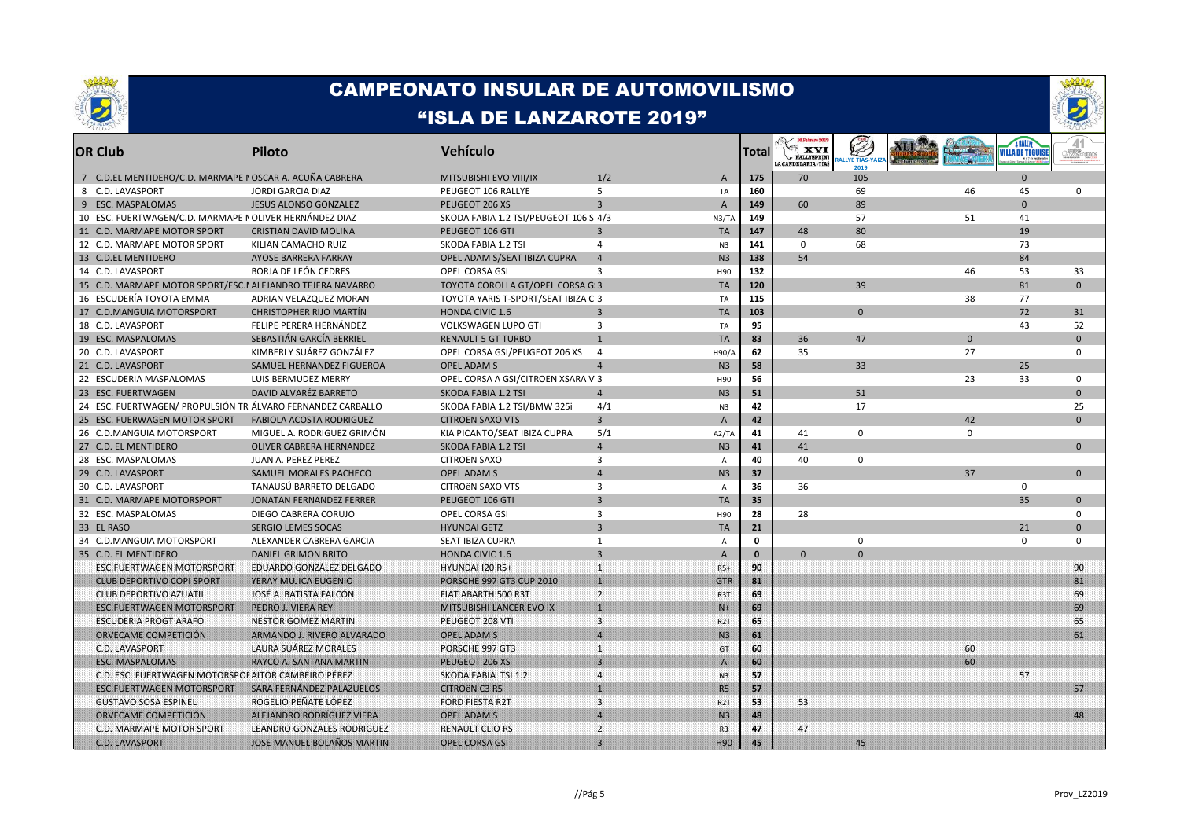



|    | <b>OR Club</b>                                            | Piloto                           | <b>Vehículo</b>                       |                         |                  | Total        | 16 Febrero 201<br>∿<br><b>XVI</b><br>LA CANDELARIA - TÍAS | <b>LLYE TIAS-Y</b><br>201c |             | <b>VILLA DE TEGUISE</b> |              |
|----|-----------------------------------------------------------|----------------------------------|---------------------------------------|-------------------------|------------------|--------------|-----------------------------------------------------------|----------------------------|-------------|-------------------------|--------------|
|    | 7 C.D.EL MENTIDERO/C.D. MARMAPE I OSCAR A. ACUÑA CABRERA  |                                  | MITSUBISHI EVO VIII/IX                | 1/2                     | $\overline{A}$   | 175          | 70                                                        | 105                        |             | $\Omega$                |              |
| 8  | C.D. LAVASPORT                                            | <b>JORDI GARCIA DIAZ</b>         | PEUGEOT 106 RALLYE                    | 5                       | TA               | 160          |                                                           | 69                         | 46          | 45                      | $\mathbf 0$  |
| 9  | <b>ESC. MASPALOMAS</b>                                    | <b>JESUS ALONSO GONZALEZ</b>     | PEUGEOT 206 XS                        | $\overline{3}$          | $\overline{A}$   | 149          | 60                                                        | 89                         |             | $\Omega$                |              |
| 10 | ESC. FUERTWAGEN/C.D. MARMAPE NOLIVER HERNANDEZ DIAZ       |                                  | SKODA FABIA 1.2 TSI/PEUGEOT 106 S 4/3 |                         | N3/TA            | 149          |                                                           | 57                         | 51          | 41                      |              |
| 11 | C.D. MARMAPE MOTOR SPORT                                  | <b>CRISTIAN DAVID MOLINA</b>     | PEUGEOT 106 GTI                       | $\overline{3}$          | <b>TA</b>        | 147          | 48                                                        | 80                         |             | 19                      |              |
| 12 | C.D. MARMAPE MOTOR SPORT                                  | KILIAN CAMACHO RUIZ              | SKODA FABIA 1.2 TSI                   | $\overline{4}$          | N <sub>3</sub>   | 141          | 0                                                         | 68                         |             | 73                      |              |
| 13 | <b>C.D.EL MENTIDERO</b>                                   | AYOSE BARRERA FARRAY             | OPEL ADAM S/SEAT IBIZA CUPRA          | $\overline{4}$          | N <sub>3</sub>   | 138          | 54                                                        |                            |             | 84                      |              |
| 14 | C.D. LAVASPORT                                            | <b>BORJA DE LEÓN CEDRES</b>      | OPEL CORSA GSI                        | 3                       | H90              | 132          |                                                           |                            | 46          | 53                      | 33           |
| 15 | C.D. MARMAPE MOTOR SPORT/ESC.I ALEJANDRO TEJERA NAVARRO   |                                  | TOYOTA COROLLA GT/OPEL CORSA G: 3     |                         | <b>TA</b>        | 120          |                                                           | 39                         |             | 81                      | $\Omega$     |
| 16 | <b>ESCUDERÍA TOYOTA EMMA</b>                              | ADRIAN VELAZQUEZ MORAN           | TOYOTA YARIS T-SPORT/SEAT IBIZA C 3   |                         | TA               | 115          |                                                           |                            | 38          | 77                      |              |
| 17 | <b>C.D.MANGUIA MOTORSPORT</b>                             | <b>CHRISTOPHER RIJO MARTIN</b>   | <b>HONDA CIVIC 1.6</b>                | $\overline{3}$          | <b>TA</b>        | 103          |                                                           | $\Omega$                   |             | 72                      | 31           |
| 18 | C.D. LAVASPORT                                            | FELIPE PERERA HERNÁNDEZ          | <b>VOLKSWAGEN LUPO GTI</b>            | 3                       | TA               | 95           |                                                           |                            |             | 43                      | 52           |
| 19 | <b>ESC. MASPALOMAS</b>                                    | SEBASTIÁN GARCÍA BERRIEL         | <b>RENAULT 5 GT TURBO</b>             | 1                       | <b>TA</b>        | 83           | 36                                                        | 47                         | $\Omega$    |                         | $\Omega$     |
| 20 | <b>C.D. LAVASPORT</b>                                     | KIMBERLY SUÁREZ GONZÁLEZ         | OPEL CORSA GSI/PEUGEOT 206 XS         | $\overline{a}$          | H90/A            | 62           | 35                                                        |                            | 27          |                         | $\Omega$     |
| 21 | <b>C.D. LAVASPORT</b>                                     | SAMUEL HERNANDEZ FIGUEROA        | <b>OPEL ADAM S</b>                    | $\overline{4}$          | N <sub>3</sub>   | 58           |                                                           | 33                         |             | 25                      |              |
| 22 | ESCUDERIA MASPALOMAS                                      | LUIS BERMUDEZ MERRY              | OPEL CORSA A GSI/CITROEN XSARA V 3    |                         | H90              | 56           |                                                           |                            | 23          | 33                      | $\mathbf 0$  |
| 23 | <b>ESC. FUERTWAGEN</b>                                    | DAVID ALVARÉZ BARRETO            | SKODA FABIA 1.2 TSI                   | $\overline{4}$          | N <sub>3</sub>   | 51           |                                                           | 51                         |             |                         | $\Omega$     |
| 24 | ESC. FUERTWAGEN/ PROPULSIÓN TR. ÁLVARO FERNANDEZ CARBALLO |                                  | SKODA FABIA 1.2 TSI/BMW 325i          | 4/1                     | N <sub>3</sub>   | 42           |                                                           | 17                         |             |                         | 25           |
| 25 | <b>ESC. FUERWAGEN MOTOR SPORT</b>                         | <b>FABIOLA ACOSTA RODRIGUEZ</b>  | <b>CITROEN SAXO VTS</b>               | $\overline{3}$          | $\mathsf{A}$     | 42           |                                                           |                            | 42          |                         | $\Omega$     |
| 26 | C.D.MANGUIA MOTORSPORT                                    | MIGUEL A. RODRIGUEZ GRIMÓN       | KIA PICANTO/SEAT IBIZA CUPRA          | 5/1                     | A2/TA            | 41           | 41                                                        | $\mathsf 0$                | $\mathbf 0$ |                         |              |
| 27 | <b>C.D. EL MENTIDERO</b>                                  | <b>OLIVER CABRERA HERNANDEZ</b>  | SKODA FABIA 1.2 TSI                   | $\overline{4}$          | N <sub>3</sub>   | 41           | 41                                                        |                            |             |                         | $\Omega$     |
| 28 | ESC. MASPALOMAS                                           | JUAN A. PEREZ PEREZ              | <b>CITROEN SAXO</b>                   | 3                       | $\overline{A}$   | 40           | 40                                                        | $\mathbf 0$                |             |                         |              |
| 29 | C.D. LAVASPORT                                            | SAMUEL MORALES PACHECO           | <b>OPEL ADAM S</b>                    | $\overline{4}$          | N <sub>3</sub>   | 37           |                                                           |                            | 37          |                         | $\mathbf{0}$ |
| 30 | <b>C.D. LAVASPORT</b>                                     | TANAUSÚ BARRETO DELGADO          | CITROËN SAXO VTS                      | 3                       | $\overline{A}$   | 36           | 36                                                        |                            |             | 0                       |              |
| 31 | C.D. MARMAPE MOTORSPORT                                   | <b>JONATAN FERNANDEZ FERRER</b>  | PEUGEOT 106 GTI                       | $\overline{3}$          | <b>TA</b>        | 35           |                                                           |                            |             | 35                      | $\mathbf{0}$ |
| 32 | ESC. MASPALOMAS                                           | DIEGO CABRERA CORUJO             | OPEL CORSA GSI                        | 3                       | H90              | 28           | 28                                                        |                            |             |                         | $\mathbf 0$  |
| 33 | <b>EL RASO</b>                                            | <b>SERGIO LEMES SOCAS</b>        | <b>HYUNDAI GETZ</b>                   | $\overline{3}$          | <b>TA</b>        | 21           |                                                           |                            |             | 21                      | $\Omega$     |
| 34 | C.D.MANGUIA MOTORSPORT                                    | ALEXANDER CABRERA GARCIA         | SEAT IBIZA CUPRA                      | 1                       | A                | $\mathbf 0$  |                                                           | 0                          |             | $\mathbf 0$             | $\Omega$     |
| 35 | <b>C.D. EL MENTIDERO</b>                                  | <b>DANIEL GRIMON BRITO</b>       | <b>HONDA CIVIC 1.6</b>                | $\overline{3}$          | $\mathsf{A}$     | $\mathbf{0}$ | $\Omega$                                                  | $\Omega$                   |             |                         |              |
|    | ESC.FUERTWAGEN MOTORSPORT                                 | EDUARDO GONZÁLEZ DELGADO         | <b>HYUNDAI 120 R5+</b>                | $\mathbf{1}$            | $R5+$            | 90           |                                                           |                            |             |                         | 90           |
|    | <b>CLUB DEPORTIVO COPI SPORT</b>                          | YERAY MUJICA EUGENIO             | <b>PORSCHE 997 GT3 CUP 2010</b>       | $\mathbf{1}$            | <b>GTR</b>       | 81           |                                                           |                            |             |                         | 81           |
|    | CLUB DEPORTIVO AZUATIL                                    | JOSÉ A. BATISTA FALCÓN           | FIAT ABARTH 500 R3T                   | $\mathbf{2}$            | <b>R3T</b>       | 69           |                                                           |                            |             |                         | 69           |
|    | <b>ESC.FUERTWAGEN MOTORSPORT</b>                          | PEDRO J. VIERA REY               | MITSUBISHI LANCER EVO IX              | $\mathbf{1}$            | INH              | 69           |                                                           |                            |             |                         | 69           |
|    | <b>ESCUDERIA PROGT ARAFO</b>                              | <b>NESTOR GOMEZ MARTIN</b>       | PEUGEOT 208 VTI                       | $\overline{\mathbf{3}}$ | R <sub>2</sub> T | 65           |                                                           |                            |             |                         | 65           |
|    | ORVECAME COMPETICIÓN                                      | ARMANDO J. RIVERO ALVARADO       | <b>OPEL ADAM S</b>                    | $\overline{4}$          | N3               | 61           |                                                           |                            |             |                         | 61           |
|    | C.D. LAVASPORT                                            | <b>LAURA SUAREZ MORALES</b>      | PORSCHE 997 GT3                       | $\mathbf{1}$            | <b>GT</b>        | 60           |                                                           |                            | 60          |                         |              |
|    | <b>ESC. MASPALOMAS</b>                                    | RAYCO A. SANTANA MARTIN          | PEUGEOT 206 XS                        | $\overline{3}$          | $\mathbf{A}$     | 60           |                                                           |                            | 60          |                         |              |
|    | C.D. ESC. FUERTWAGEN MOTORSPOF AITOR CAMBEIRO PÉREZ       |                                  | SKODA FABIA TSI 1.2                   | $\overline{4}$          | N3               | 57           |                                                           |                            |             | 57                      |              |
|    | <b>ESC.FUERTWAGEN MOTORSPORT</b>                          | SARA FERNANDEZ PALAZUELOS        | <b>CITROEN C3 R5</b>                  | H.                      | <b>R5</b>        | 57           |                                                           |                            |             |                         | 57           |
|    | <b>GUSTAVO SOSA ESPINEL</b>                               | ROGELIO PEÑATE LÓPEZ             | <b>FORD FIESTA R2T</b>                | 3                       | <b>R2T</b>       | 53.          | -53                                                       |                            |             |                         |              |
|    | ORVECAME COMPETICIÓN                                      | <b>ALEJANDRO RODRIGUEZ VIERA</b> | <b>OPEL ADAM S</b>                    | $\overline{4}$          | N <sub>3</sub>   | 48           |                                                           |                            |             |                         | 48           |
|    | C.D. MARMAPE MOTOR SPORT                                  | LEANDRO GONZALES RODRIGUEZ       | <b>RENAULT CLIO RS</b>                | $\overline{2}$          | R3               | 47           | 47                                                        |                            |             |                         |              |
|    | <b>C.D. LAVASPORT</b>                                     | JOSE MANUEL BOLANOS MARTIN       | OPEL CORSA GSI                        | $\mathbf{B}$            | H90              | 45           |                                                           | 45                         |             |                         |              |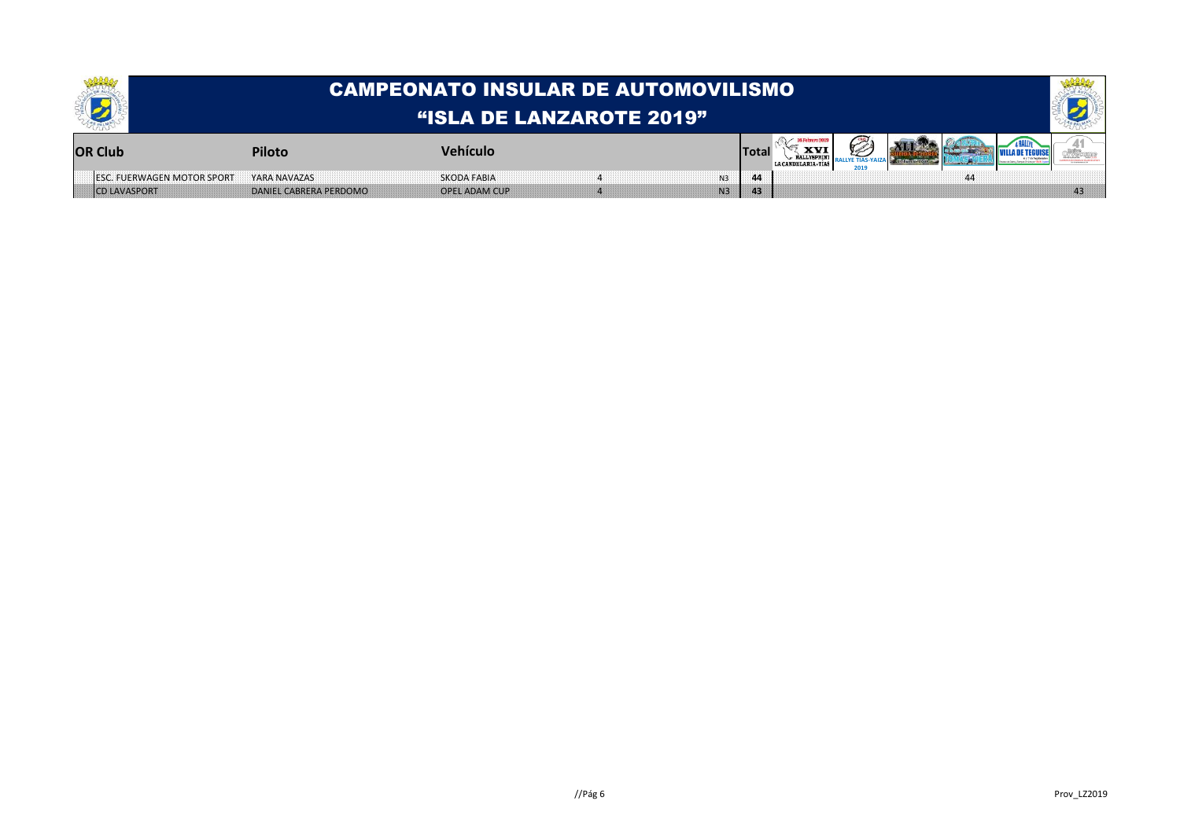|                                   | CAMPEONATO INSULAR DE AUTOMOVILISMO |                      |    |       |  |  |  |  |  |    |  |  |
|-----------------------------------|-------------------------------------|----------------------|----|-------|--|--|--|--|--|----|--|--|
|                                   | "ISLA DE LANZAROTE 2019"            |                      |    |       |  |  |  |  |  |    |  |  |
| <b>OR Club</b>                    | <b>Piloto</b>                       | <b>Vehículo</b>      |    | Total |  |  |  |  |  |    |  |  |
| <b>ESC. FUERWAGEN MOTOR SPORT</b> | YARA NAVAZAS                        | <b>SKODA FABIA</b>   | N3 |       |  |  |  |  |  |    |  |  |
| <b>ICD LAVASPORT</b>              | DANIEL CABRERA PERDOMO              | <b>OPEL ADAM CUP</b> | N3 | 43    |  |  |  |  |  | 43 |  |  |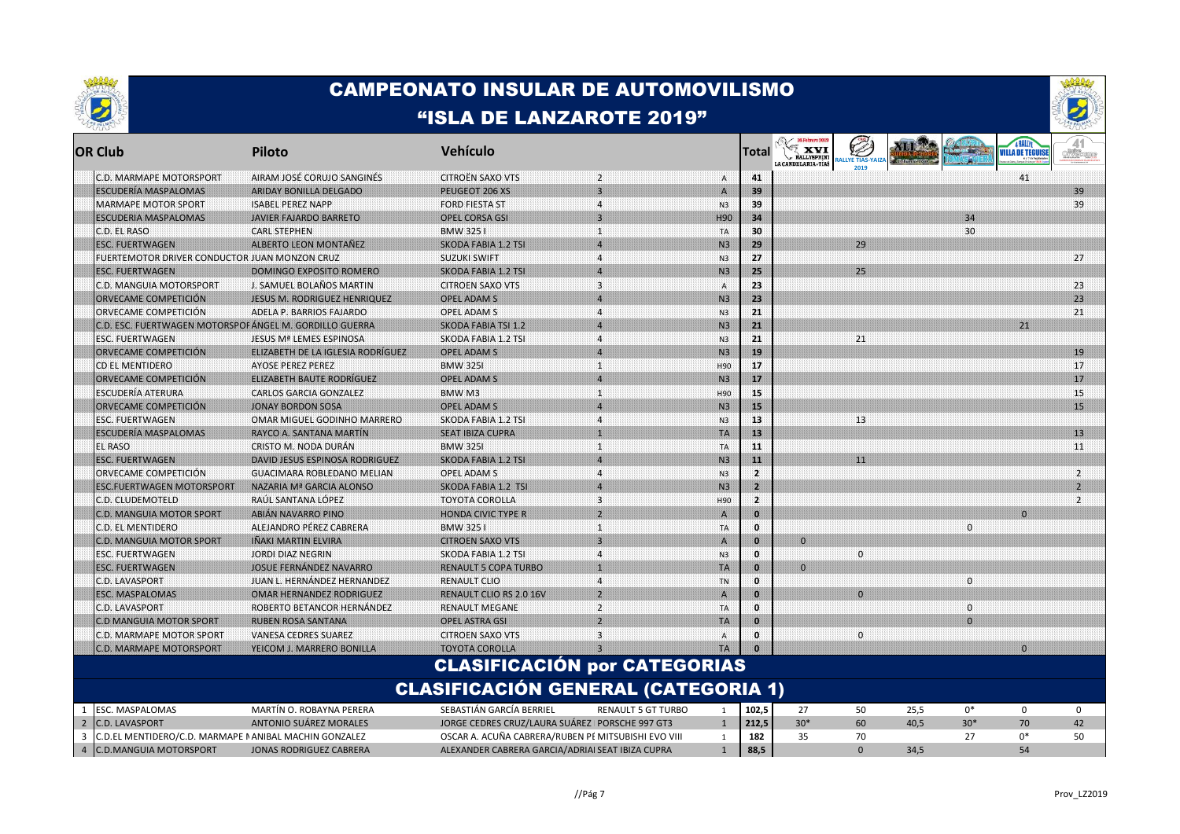



| <b>OR Club</b>                                              | Piloto                            | Vehículo                                            |                                  |                 | Total        | <b>Exyl</b><br><b>RALLYSPRINT</b><br>LA CANDELARIA - TÍAS | <b>ALLVE TIAS-VA</b> |      |              | <b>VILLA DE TEGUISE</b> | of Wikiam      |
|-------------------------------------------------------------|-----------------------------------|-----------------------------------------------------|----------------------------------|-----------------|--------------|-----------------------------------------------------------|----------------------|------|--------------|-------------------------|----------------|
| C.D. MARMAPE MOTORSPORT                                     | AIRAM JOSÉ CORUJO SANGINES        | <b>CITROËN SAXO VTS</b>                             | $\overline{2}$                   | $\mathbf{A}$    | 41           |                                                           |                      |      |              | 41                      |                |
| <b>ESCUDERÍA MASPALOMAS</b>                                 | ARIDAY BONILLA DELGADO            | PEUGEOT 206 XS                                      | $\overline{\mathbf{3}}$          | $\mathbf{A}$    | 39           |                                                           |                      |      |              |                         | 39             |
| MARMAPE MOTOR SPORT                                         | <b>ISABEL PEREZ NAPP</b>          | <b>FORD FIESTA ST</b>                               | 4                                | N3              | 39           |                                                           |                      |      |              |                         | 39             |
| <b>ESCUDERIA MASPALOMAS</b>                                 | <b>JAVIER FAJARDO BARRETO</b>     | <b>OPEL CORSA GSI</b>                               | 3                                | H <sub>90</sub> | 34           |                                                           |                      |      | 34           |                         |                |
| C.D. EL RASO                                                | <b>CARL STEPHEN</b>               | BMW 3251                                            | $\mathbf{1}$                     | <b>TA</b>       | 30           |                                                           |                      |      | 30           |                         |                |
| <b>ESC. FUERTWAGEN</b>                                      | <b>ALBERTO LEON MONTANEZ</b>      | <b>SKODA FABIA 1.2 TSI</b>                          | $\boldsymbol{\Lambda}$           | N <sub>3</sub>  | 29           |                                                           | 29                   |      |              |                         |                |
| FUERTEMOTOR DRIVER CONDUCTOR JUAN MONZON CRUZ               |                                   | <b>SUZUKI SWIFT</b>                                 | $\overline{\mathbf{4}}$          | N3              | 27           |                                                           |                      |      |              |                         | 27             |
| ESC. FUERTWAGEN                                             | DOMINGO EXPOSITO ROMERO           | <b>SKODA FABIA 1.2 TSI</b>                          | $\overline{4}$                   | N3              | 25           |                                                           | 25                   |      |              |                         |                |
| C.D. MANGUIA MOTORSPORT                                     | J. SAMUEL BOLAÑOS MARTIN          | <b>CITROEN SAXO VTS</b>                             | $\overline{\mathbf{3}}$          | A               | 23           |                                                           |                      |      |              |                         | 23             |
| ORVECAME COMPETICIÓN                                        | JESUS M. RODRIGUEZ HENRIQUEZ      | <b>OPEL ADAM S</b>                                  | $\overline{a}$                   | N <sub>3</sub>  | 23           |                                                           |                      |      |              |                         | 23             |
| ORVECAME COMPETICIÓN                                        | ADELA P. BARRIOS FAJARDO          | OPEL ADAM S                                         | $\overline{4}$                   | N3              | 21           |                                                           |                      |      |              |                         | 21             |
| C.D. ESC. FUERTWAGEN MOTORSPOF ANGEL M. GORDILLO GUERRA     |                                   | <b>SKODA FABIA TSI 1.2</b>                          | $\boldsymbol{\Lambda}$           | N3              | FX           |                                                           |                      |      |              | 21                      |                |
| <b>ESC. FUERTWAGEN</b>                                      | JESUS Mª LEMES ESPINOSA           | SKODA FABIA 1.2 TSI                                 | $\overline{4}$                   | N3              | 21           |                                                           | 21                   |      |              |                         |                |
| ORVECAME COMPETICIÓN                                        | ELIZABETH DE LA IGLESIA RODRIGUEZ | <b>OPEL ADAM S</b>                                  | $\boldsymbol{\Lambda}$           | N3              | 19           |                                                           |                      |      |              |                         | 19             |
| CD EL MENTIDERO                                             | <b>AYOSE PEREZ PEREZ</b>          | <b>BMW 3251</b>                                     | H.                               | H90             | 17           |                                                           |                      |      |              |                         | 17             |
| ORVECAME COMPETICIÓN                                        | ELIZABETH BAUTE RODRIGUEZ         | <b>OPEL ADAM S</b>                                  | $\overline{4}$                   | N <sub>3</sub>  | 17           |                                                           |                      |      |              |                         | 17             |
| ESCUDERÍA ATERURA                                           | <b>CARLOS GARCIA GONZALEZ</b>     | BMW M3                                              | $\mathbf{1}$                     | H90             | 15           |                                                           |                      |      |              |                         | 15             |
| ORVECAME COMPETICION                                        | <b>JONAY BORDON SOSA</b>          | <b>OPEL ADAM S</b>                                  | $\overline{4}$                   | N3              | 15           |                                                           |                      |      |              |                         | 15             |
| <b>ESC. FUERTWAGEN</b>                                      | OMAR MIGUEL GODINHO MARRERO       | SKODA FABIA 1.2 TSI                                 | $\overline{4}$                   | N3              | 13           |                                                           | 13                   |      |              |                         |                |
| <b>ESCUDERÍA MASPALOMAS</b>                                 | RAYCO A. SANTANA MARTÍN           | <b>SEAT IBIZA CUPRA</b>                             | 1                                | <b>TA</b>       | 13           |                                                           |                      |      |              |                         | 13             |
| EL RASO                                                     | CRISTO M. NODA DURAN              | <b>BMW 3251</b>                                     | $\mathbf{1}$                     | TA.             | 11           |                                                           |                      |      |              |                         | 11             |
| <b>ESC. FUERTWAGEN</b>                                      | DAVID JESUS ESPINOSA RODRIGUEZ    | <b>SKODA FABIA 1.2 TSI</b>                          | $\boldsymbol{\Delta}$            | N3              | 11           |                                                           | 11                   |      |              |                         |                |
| ORVECAME COMPETICIÓN                                        | GUACIMARA ROBLEDANO MELIAN        | OPEL ADAM S                                         | $\boldsymbol{4}$                 | N3              | -2           |                                                           |                      |      |              |                         | $\mathbf{2}$   |
| <b>ESC.FUERTWAGEN MOTORSPORT</b>                            | <b>NAZARIA Mª GARCIA ALONSO</b>   | SKODA FABIA 1.2 TSI                                 | lД.                              | N3              | 2            |                                                           |                      |      |              |                         | Þ              |
| C.D. CLUDEMOTELD                                            | RAÚL SANTANA LÓPEZ                | <b>TOYOTA COROLLA</b>                               | $\overline{\mathbf{3}}$          | H90             | 2            |                                                           |                      |      |              |                         | $\overline{2}$ |
| <b>C.D. MANGUIA MOTOR SPORT</b>                             | <b>ABIAN NAVARRO PINO</b>         | <b>HONDA CIVIC TYPE R</b>                           | $\overline{2}$                   | ${\bf A}$       | n            |                                                           |                      |      |              | $\Omega$                |                |
| C.D. EL MENTIDERO                                           | ALEJANDRO PÉREZ CABRERA           | BMW 3251                                            | $\mathbf{1}$                     | TA              | $\mathbf{0}$ |                                                           |                      |      | $\mathbf{0}$ |                         |                |
| <b>C.D. MANGUIA MOTOR SPORT</b>                             | INAKI MARTIN ELVIRA               | <b>CITROEN SAXO VTS</b>                             | $\overline{3}$                   | $\mathbf{A}$    | O            | $\mathbf{0}$                                              |                      |      |              |                         |                |
|                                                             |                                   |                                                     | $\overline{\mathbf{4}}$          |                 | $\mathbf{0}$ |                                                           | $\mathbf{0}$         |      |              |                         |                |
| ESC. FUERTWAGEN                                             | JORDI DIAZ NEGRIN                 | SKODA FABIA 1.2 TSI                                 | $\mathbf{1}$                     | N3              | m            |                                                           |                      |      |              |                         |                |
| <b>ESC. FUERTWAGEN</b>                                      | JOSUE FERNANDEZ NAVARRO           | <b>RENAULT 5 COPA TURBO</b>                         |                                  | TA              |              | $\mathbf{0}$                                              |                      |      |              |                         |                |
| C.D. LAVASPORT                                              | JUAN L. HERNÁNDEZ HERNANDEZ       | <b>RENAULT CLIO</b>                                 | $\overline{4}$<br>$\overline{2}$ | <b>TN</b>       | $\mathbf{0}$ |                                                           | $\Omega$             |      | $\mathbf{0}$ |                         |                |
| <b>ESC. MASPALOMAS</b>                                      | <b>OMAR HERNANDEZ RODRIGUEZ</b>   | <b>RENAULT CLIO RS 2.0 16V</b>                      |                                  | $\mathsf{A}$    | ٠o           |                                                           |                      |      |              |                         |                |
| C.D. LAVASPORT                                              | ROBERTO BETANCOR HERNÁNDEZ        | <b>RENAULT MEGANE</b>                               | $\overline{2}$                   | TA              | $\mathbf{a}$ |                                                           |                      |      | $\Omega$     |                         |                |
| <b>C.D MANGUIA MOTOR SPORT</b>                              | <b>RUBEN ROSA SANTANA</b>         | <b>OPEL ASTRA GSI</b>                               | b.                               | <b>TA</b>       | m            |                                                           |                      |      | $\Omega$     |                         |                |
| C.D. MARMAPE MOTOR SPORT                                    | <b>VANESA CEDRES SUAREZ</b>       | <b>CITROEN SAXO VTS</b>                             | 3                                | Α               | o            |                                                           | $\mathbf 0$          |      |              |                         |                |
| C.D. MARMAPE MOTORSPORT                                     | YEICOM J. MARRERO BONILLA         | <b>TOYOTA COROLLA</b>                               |                                  | <b>TA</b>       |              |                                                           |                      |      |              | $\Omega$                |                |
|                                                             |                                   | <b>CLASIFICACIÓN por CATEGORIAS</b>                 |                                  |                 |              |                                                           |                      |      |              |                         |                |
|                                                             |                                   | <b>CLASIFICACIÓN GENERAL (CATEGORIA 1)</b>          |                                  |                 |              |                                                           |                      |      |              |                         |                |
| ESC. MASPALOMAS<br>1                                        | MARTÍN O. ROBAYNA PERERA          | SEBASTIÁN GARCÍA BERRIEL                            | <b>RENAULT 5 GT TURBO</b>        | 1               | 102,5        | 27                                                        | 50                   | 25,5 | $0*$         | $\mathbf 0$             | $\mathbf 0$    |
| $\overline{2}$<br><b>C.D. LAVASPORT</b>                     | ANTONIO SUÁREZ MORALES            | JORGE CEDRES CRUZ/LAURA SUÁREZ I PORSCHE 997 GT3    |                                  | $\mathbf{1}$    | 212,5        | $30*$                                                     | 60                   | 40,5 | $30*$        | 70                      | 42             |
| 3<br>C.D.EL MENTIDERO/C.D. MARMAPE I ANIBAL MACHIN GONZALEZ |                                   | OSCAR A. ACUÑA CABRERA/RUBEN PÉ MITSUBISHI EVO VIII |                                  | 1               | 182          | 35                                                        | 70                   |      | 27           | $0*$                    | 50             |
| $\overline{4}$<br><b>C.D.MANGUIA MOTORSPORT</b>             | <b>JONAS RODRIGUEZ CABRERA</b>    | ALEXANDER CABRERA GARCIA/ADRIAI SEAT IBIZA CUPRA    |                                  | $\mathbf{1}$    | 88,5         |                                                           | $\Omega$             | 34,5 |              | 54                      |                |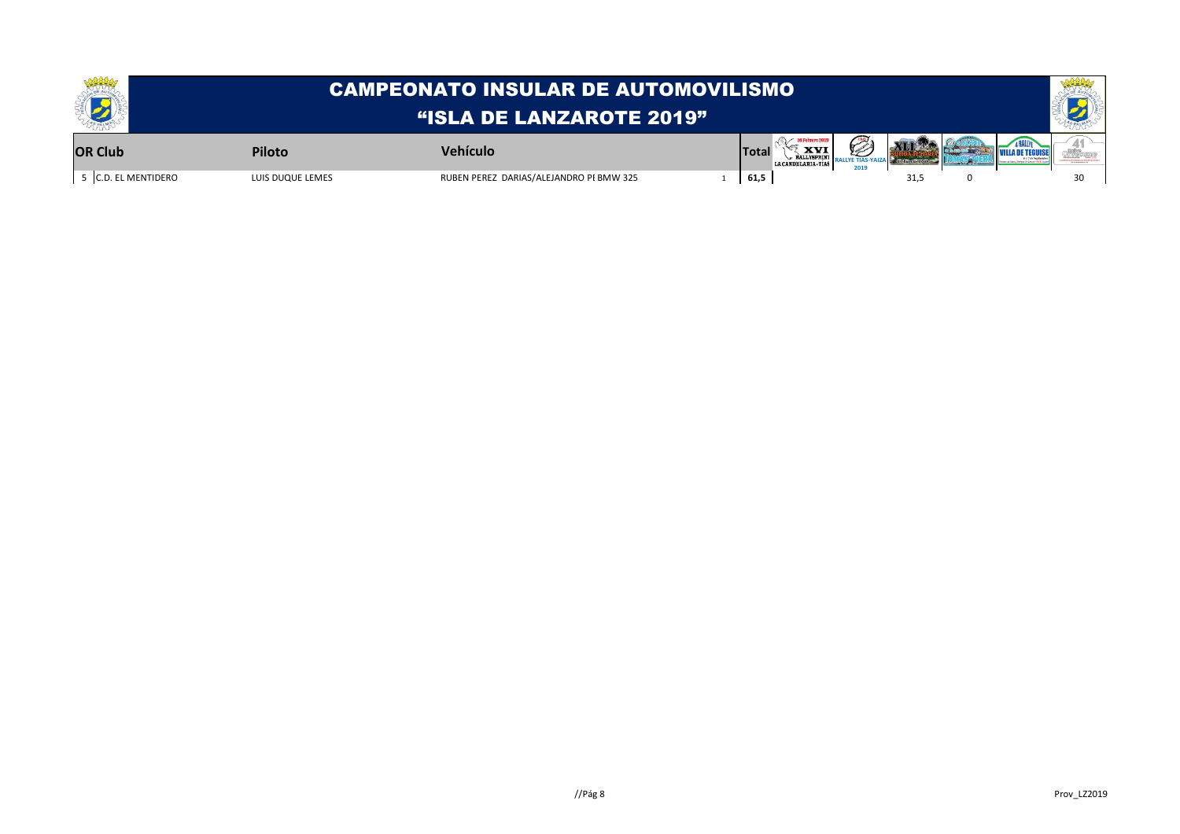|                   | <b>CAMPEONATO INSULAR DE AUTOMOVILISMO</b><br>"ISLA DE LANZAROTE 2019" |                                         |  |       |                                  |  |      |  |  |  |
|-------------------|------------------------------------------------------------------------|-----------------------------------------|--|-------|----------------------------------|--|------|--|--|--|
| <b>OR Club</b>    | Piloto                                                                 | Vehículo                                |  | Total | <b>XVI</b><br>LACANDELARIA, TIAS |  |      |  |  |  |
| C.D. EL MENTIDERO | LUIS DUQUE LEMES                                                       | RUBEN PEREZ DARIAS/ALEJANDRO PI BMW 325 |  | 61,5  |                                  |  | 31.5 |  |  |  |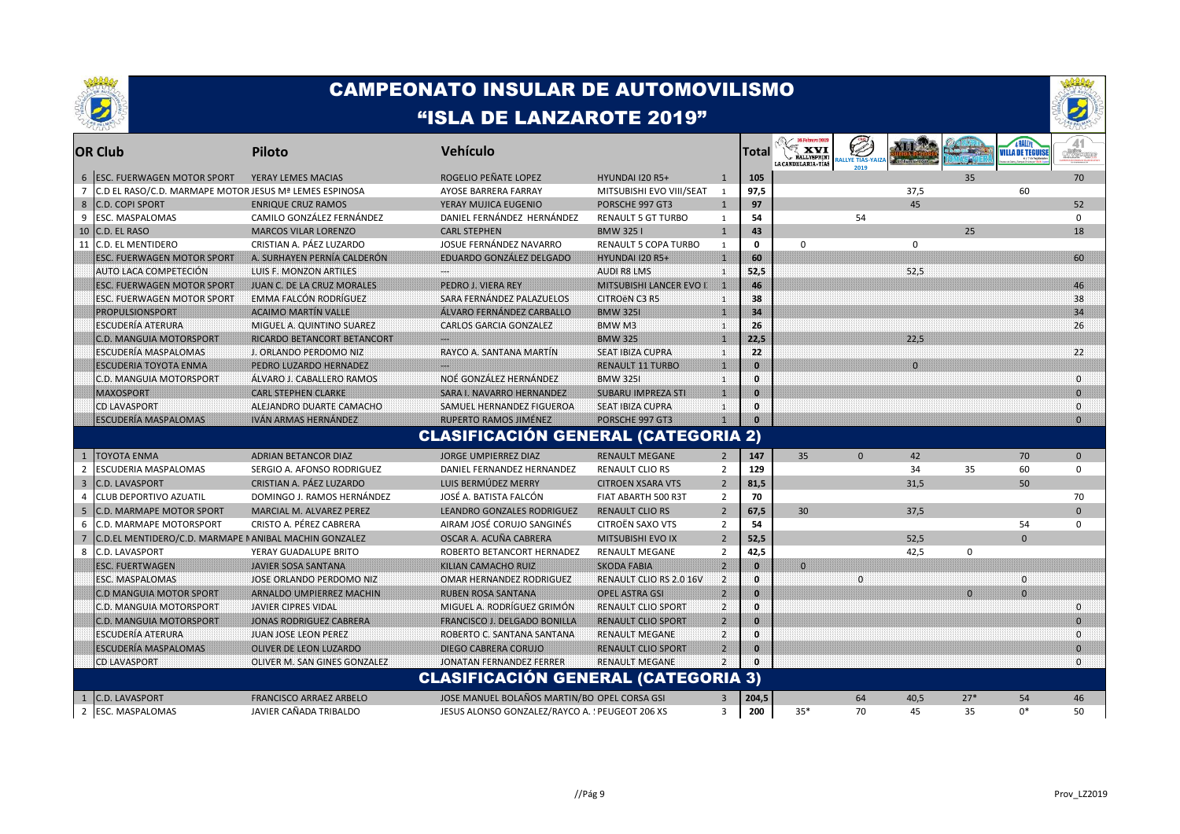



|                         | <b>OR Club</b>                                         | <b>Piloto</b>                  | Vehículo                                        |                             |                | Total        | 16 Febrero 2019<br>LA CANDELARIA-TÍAS | <b>College Report</b><br><b>LLYE TIAS-Y</b> |              |          | VILLA DE TEGUISI | 41<br>o Necon  |
|-------------------------|--------------------------------------------------------|--------------------------------|-------------------------------------------------|-----------------------------|----------------|--------------|---------------------------------------|---------------------------------------------|--------------|----------|------------------|----------------|
| 6 <sup>1</sup>          | <b>ESC. FUERWAGEN MOTOR SPORT</b>                      | YERAY LEMES MACIAS             | ROGELIO PEÑATE LOPEZ                            | HYUNDAI I20 R5+             | $\mathbf{1}$   | 105          |                                       |                                             |              | 35       |                  | 70             |
| 7                       | C.D EL RASO/C.D. MARMAPE MOTOR JESUS Mª LEMES ESPINOSA |                                | AYOSE BARRERA FARRAY                            | MITSUBISHI EVO VIII/SEAT    | 1              | 97,5         |                                       |                                             | 37,5         |          | 60               |                |
| 8                       | C.D. COPI SPORT                                        | <b>ENRIQUE CRUZ RAMOS</b>      | YERAY MUJICA EUGENIO                            | PORSCHE 997 GT3             | $\mathbf{1}$   | 97           |                                       |                                             | 45           |          |                  | 52             |
| 9                       | ESC. MASPALOMAS                                        | CAMILO GONZÁLEZ FERNÁNDEZ      | DANIEL FERNÁNDEZ HERNÁNDEZ                      | <b>RENAULT 5 GT TURBO</b>   | 1              | 54           |                                       | 54                                          |              |          |                  | $\mathbf 0$    |
| 10                      | C.D. EL RASO                                           | <b>MARCOS VILAR LORENZO</b>    | <b>CARL STEPHEN</b>                             | <b>BMW 3251</b>             | $\mathbf{1}$   | 43           |                                       |                                             |              | 25       |                  | 18             |
| 11                      | <b>C.D. EL MENTIDERO</b>                               | CRISTIAN A. PÁEZ LUZARDO       | JOSUE FERNÁNDEZ NAVARRO                         | <b>RENAULT 5 COPA TURBO</b> | 1              | $\mathbf 0$  | $\mathbf 0$                           |                                             | $\mathbf 0$  |          |                  |                |
|                         | <b>ESC. FUERWAGEN MOTOR SPORT</b>                      | A. SURHAYEN PERNÍA CALDERÓN    | EDUARDO GONZÁLEZ DELGADO                        | <b>HYUNDAI 120 R5+</b>      | Ш              | 60           |                                       |                                             |              |          |                  | 60             |
|                         | AUTO LACA COMPETECIÓN                                  | LUIS F. MONZON ARTILES         |                                                 | AUDI R8 LMS                 | 4              | 52,5         |                                       |                                             | 52,5         |          |                  |                |
|                         | <b>ESC. FUERWAGEN MOTOR SPORT</b>                      | JUAN C. DE LA CRUZ MORALES     | PEDRO J. VIERA REY                              | MITSUBISHI LANCER EVO I     | 脚              | 46           |                                       |                                             |              |          |                  | 46             |
|                         | <b>ESC. FUERWAGEN MOTOR SPORT</b>                      | <b>EMMA FALCON RODRÍGUEZ</b>   | SARA FERNÁNDEZ PALAZUELOS                       | CITROËN C3 R5               | -1             | 38           |                                       |                                             |              |          |                  | 38             |
|                         | <b>PROPULSIONSPORT</b>                                 | <b>ACAIMO MARTIN VALLE</b>     | ALVARO FERNANDEZ CARBALLO                       | <b>BMW 325I</b>             | m              | 34           |                                       |                                             |              |          |                  | 34             |
|                         | ESCUDERÍA ATERURA                                      | MIGUEL A. QUINTINO SUAREZ      | <b>CARLOS GARCIA GONZALEZ</b>                   | BMW <sub>M3</sub>           | 11             | 26           |                                       |                                             |              |          |                  | 26             |
|                         | <b>C.D. MANGUIA MOTORSPORT</b>                         | RICARDO BETANCORT BETANCORT    |                                                 | <b>BMW 325</b>              | Ш              | 22,5         |                                       |                                             | 22.5         |          |                  |                |
|                         | ESCUDERIA MASPALOMAS                                   | J. ORLANDO PERDOMO NIZ         | RAYCO A. SANTANA MARTIN                         | <b>SEAT IBIZA CUPRA</b>     | 11             | 22           |                                       |                                             |              |          |                  | 22             |
|                         | <b>ESCUDERIA TOYOTA ENMA</b>                           | PEDRO LUZARDO HERNADEZ         |                                                 | RENAULT 11 TURBO            | m              | n            |                                       |                                             | $\mathbf{0}$ |          |                  |                |
|                         | C.D. MANGUIA MOTORSPORT                                | ALVARO J. CABALLERO RAMOS      | NOÉ GONZÁLEZ HERNANDEZ                          | <b>BMW 325I</b>             | 111            | $\mathbf{0}$ |                                       |                                             |              |          |                  | $\Omega$       |
|                         | <b>MAXOSPORT</b>                                       | <b>CARL STEPHEN CLARKE</b>     | <b>SARA I. NAVARRO HERNANDEZ</b>                | <b>SUBARU IMPREZA STI</b>   | Ш              | n            |                                       |                                             |              |          |                  | $\Omega$       |
|                         | CD LAVASPORT                                           | ALEJANDRO DUARTE CAMACHO       | SAMUEL HERNANDEZ FIGUEROA                       | <b>SEAT IBIZA CUPRA</b>     | 11             | $\mathbf{0}$ |                                       |                                             |              |          |                  | $\Omega$       |
|                         | <b>ESCUDERÍA MASPALOMAS</b>                            | <b>IVAN ARMAS HERNANDEZ</b>    | RUPERTO RAMOS JIMENEZ                           | PORSCHE 997 GT3             | m              |              |                                       |                                             |              |          |                  | $\Omega$       |
|                         |                                                        |                                | <b>CLASIFICACIÓN GENERAL (CATEGORIA 2)</b>      |                             |                |              |                                       |                                             |              |          |                  |                |
|                         | <b>TOYOTA ENMA</b>                                     | <b>ADRIAN BETANCOR DIAZ</b>    | JORGE UMPIERREZ DIAZ                            | <b>RENAULT MEGANE</b>       | $\overline{2}$ | 147          | 35                                    | $\mathbf 0$                                 | 42           |          | 70               | $\mathbf{0}$   |
| $\overline{2}$          | ESCUDERIA MASPALOMAS                                   | SERGIO A. AFONSO RODRIGUEZ     | DANIEL FERNANDEZ HERNANDEZ                      | <b>RENAULT CLIO RS</b>      | $\overline{2}$ | 129          |                                       |                                             | 34           | 35       | 60               | $\mathbf 0$    |
| $\overline{\mathbf{3}}$ | <b>C.D. LAVASPORT</b>                                  | CRISTIAN A. PÁEZ LUZARDO       | LUIS BERMÚDEZ MERRY                             | <b>CITROEN XSARA VTS</b>    | $\overline{2}$ | 81,5         |                                       |                                             | 31,5         |          | 50               |                |
| $\overline{4}$          | CLUB DEPORTIVO AZUATIL                                 | DOMINGO J. RAMOS HERNÁNDEZ     | JOSÉ A. BATISTA FALCÓN                          | FIAT ABARTH 500 R3T         | $\overline{2}$ | 70           |                                       |                                             |              |          |                  | 70             |
| 5                       | <b>C.D. MARMAPE MOTOR SPORT</b>                        | MARCIAL M. ALVAREZ PEREZ       | <b>LEANDRO GONZALES RODRIGUEZ</b>               | <b>RENAULT CLIO RS</b>      | $\overline{2}$ | 67,5         | 30                                    |                                             | 37,5         |          |                  | $\mathbf{0}$   |
| 6                       | C.D. MARMAPE MOTORSPORT                                | CRISTO A. PÉREZ CABRERA        | AIRAM JOSÉ CORUJO SANGINÉS                      | CITROËN SAXO VTS            | $\overline{2}$ | 54           |                                       |                                             |              |          | 54               | $\Omega$       |
| $\overline{7}$          | C.D.EL MENTIDERO/C.D. MARMAPE I ANIBAL MACHIN GONZALEZ |                                | OSCAR A. ACUÑA CABRERA                          | <b>MITSUBISHI EVO IX</b>    | $\overline{2}$ | 52,5         |                                       |                                             | 52,5         |          | $\mathbf{0}$     |                |
| 8                       | C.D. LAVASPORT                                         | YERAY GUADALUPE BRITO          | ROBERTO BETANCORT HERNADEZ                      | <b>RENAULT MEGANE</b>       | $\overline{2}$ | 42,5         |                                       |                                             | 42,5         | 0        |                  |                |
|                         | <b>ESC. FUERTWAGEN</b>                                 | JAVIER SOSA SANTANA            | KILIAN CAMACHO RUIZ                             | <b>SKODA FABIA</b>          | $\overline{2}$ | Ю            | $\Omega$                              |                                             |              |          |                  |                |
|                         | ESC. MASPALOMAS                                        | JOSE ORLANDO PERDOMO NIZ       | OMAR HERNANDEZ RODRIGUEZ                        | RENAULT CLIO RS 2.0 16V     | $\overline{2}$ | n            |                                       | $\overline{0}$                              |              |          | $\mathbf{0}$     |                |
|                         | C.D MANGUIA MOTOR SPORT                                | ARNALDO UMPIERREZ MACHIN       | <b>RUBEN ROSA SANTANA</b>                       | OPEL ASTRA GSI              | $\overline{2}$ | n            |                                       |                                             |              | $\Omega$ | $\Omega$         |                |
|                         | C.D. MANGUIA MOTORSPORT                                | JAVIER CIPRES VIDAL            | MIGUEL A. RODRÍGUEZ GRIMÓN                      | RENAULT CLIO SPORT          | $\overline{2}$ | 0            |                                       |                                             |              |          |                  | n              |
|                         | <b>C.D. MANGUIA MOTORSPORT</b>                         | <b>JONAS RODRIGUEZ CABRERA</b> | <b>FRANCISCO J. DELGADO BONILLA</b>             | <b>RENAULT CLIO SPORT</b>   | $\overline{2}$ | $\mathbf{a}$ |                                       |                                             |              |          |                  | $\Omega$       |
|                         | ESCUDERÍA ATERURA                                      | <b>JUAN JOSE LEON PEREZ</b>    | ROBERTO C. SANTANA SANTANA                      | RENAULT MEGANE              | $\overline{2}$ | $\mathbf{0}$ |                                       |                                             |              |          |                  | ി              |
|                         | <b>ESCUDERIA MASPALOMAS</b>                            | OLIVER DE LEON LUZARDO         | DIEGO CABRERA CORUJO                            | <b>RENAULT CLIO SPORT</b>   | $\overline{2}$ | $\mathbf{0}$ |                                       |                                             |              |          |                  | $\overline{0}$ |
|                         | <b>CD LAVASPORT</b>                                    | OLIVER M. SAN GINES GONZALEZ   | JONATAN FERNANDEZ FERRER                        | RENAULT MEGANE              | $\mathbf{2}$   |              |                                       |                                             |              |          |                  | $\Omega$       |
|                         |                                                        |                                | <b>CLASIFICACIÓN GENERAL (CATEGORIA 3)</b>      |                             |                |              |                                       |                                             |              |          |                  |                |
| $\mathbf{1}$            | <b>C.D. LAVASPORT</b>                                  | FRANCISCO ARRAEZ ARBELO        | JOSE MANUEL BOLAÑOS MARTIN/BOI OPEL CORSA GSI   |                             | 3              | 204,5        |                                       | 64                                          | 40,5         | $27*$    | 54               | 46             |
|                         | 2 ESC. MASPALOMAS                                      | JAVIER CAÑADA TRIBALDO         | JESUS ALONSO GONZALEZ/RAYCO A. : PEUGEOT 206 XS |                             | 3              | 200          | $35*$                                 | 70                                          | 45           | 35       | $0*$             | 50             |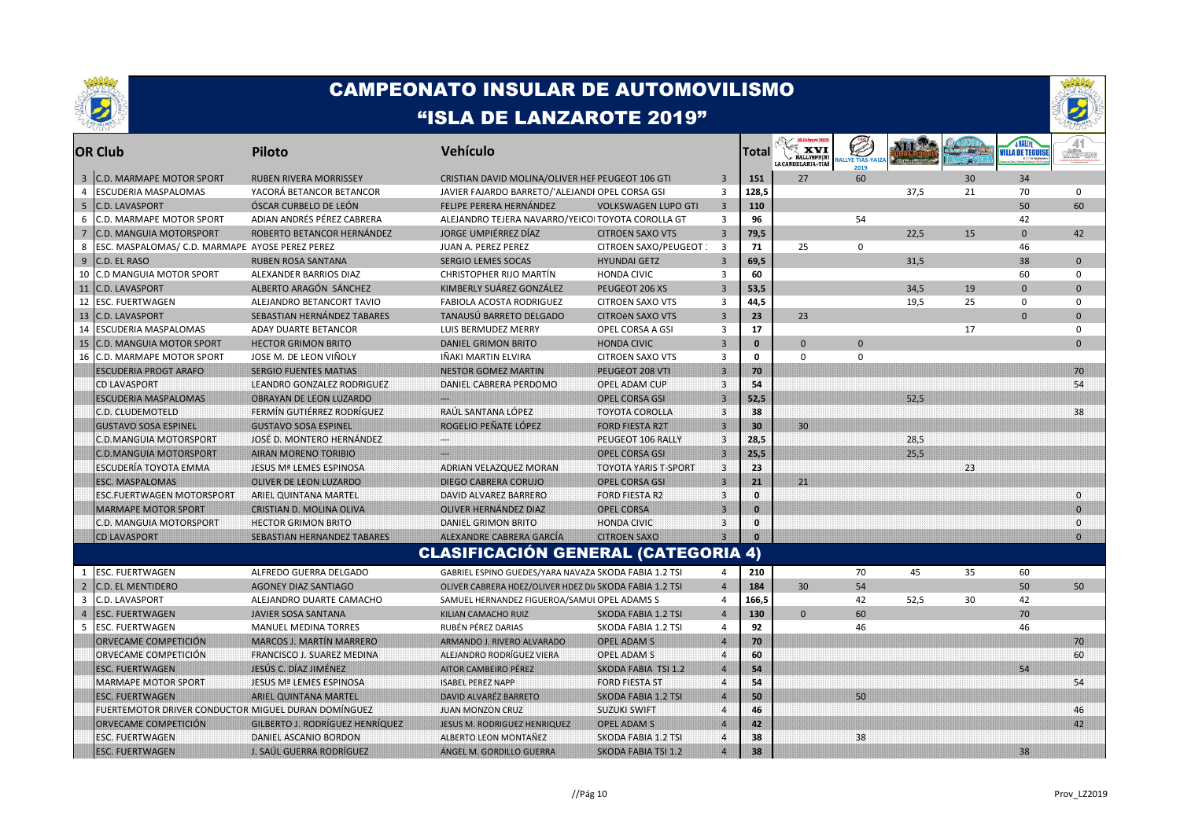



|    | <b>OR Club</b>                                       | Piloto                                 | Vehículo                                                |                             |                         | Total        | <b>XVI</b><br><b>RALLYSPRINT</b><br>LA CANDELARIA - TÍAS | <b>ALLYE TIAS-Y</b> |      |    | <b>VILLA DE TEGUIS</b> | orvecem         |
|----|------------------------------------------------------|----------------------------------------|---------------------------------------------------------|-----------------------------|-------------------------|--------------|----------------------------------------------------------|---------------------|------|----|------------------------|-----------------|
|    | <b>C.D. MARMAPE MOTOR SPORT</b><br>$\overline{3}$    | <b>RUBEN RIVERA MORRISSEY</b>          | CRISTIAN DAVID MOLINA/OLIVER HEF PEUGEOT 106 GTI        |                             | $\overline{3}$          | 151          | 27                                                       | 60                  |      | 30 | 34                     |                 |
|    | ESCUDERIA MASPALOMAS<br>$\overline{4}$               | YACORÁ BETANCOR BETANCOR               | JAVIER FAJARDO BARRETO/'ALEJANDI OPEL CORSA GSI         |                             | $\overline{3}$          | 128,5        |                                                          |                     | 37,5 | 21 | 70                     | $\mathbf 0$     |
|    | 5<br><b>C.D. LAVASPORT</b>                           | ÓSCAR CURBELO DE LEÓN                  | FELIPE PERERA HERNÁNDEZ                                 | <b>VOLKSWAGEN LUPO GTI</b>  | $\overline{3}$          | 110          |                                                          |                     |      |    | 50                     | 60              |
|    | 6<br>C.D. MARMAPE MOTOR SPORT                        | ADIAN ANDRÉS PÉREZ CABRERA             | ALEJANDRO TEJERA NAVARRO/YEICOI TOYOTA COROLLA GT       |                             | 3                       | 96           |                                                          | 54                  |      |    | 42                     |                 |
|    | $\overline{7}$<br><b>C.D. MANGUIA MOTORSPORT</b>     | ROBERTO BETANCOR HERNÁNDEZ             | JORGE UMPIÉRREZ DÍAZ                                    | <b>CITROEN SAXO VTS</b>     | $\overline{3}$          | 79,5         |                                                          |                     | 22,5 | 15 | $\mathbf{0}$           | 42              |
|    | 8<br>ESC. MASPALOMAS/ C.D. MARMAPE AYOSE PEREZ PEREZ |                                        | JUAN A. PEREZ PEREZ                                     | CITROEN SAXO/PEUGEOT :      | $\overline{3}$          | 71           | 25                                                       | $\mathbf 0$         |      |    | 46                     |                 |
|    | 9<br>C.D. EL RASO                                    | <b>RUBEN ROSA SANTANA</b>              | <b>SERGIO LEMES SOCAS</b>                               | <b>HYUNDAI GETZ</b>         | $\overline{3}$          | 69,5         |                                                          |                     | 31.5 |    | 38                     | $\Omega$        |
|    | C.D MANGUIA MOTOR SPORT<br>10                        | ALEXANDER BARRIOS DIAZ                 | CHRISTOPHER RIJO MARTIN                                 | <b>HONDA CIVIC</b>          | $\overline{3}$          | 60           |                                                          |                     |      |    | 60                     | $\mathbf 0$     |
|    | 11<br><b>C.D. LAVASPORT</b>                          | ALBERTO ARAGÓN SÁNCHEZ                 | KIMBERLY SUÁREZ GONZÁLEZ                                | PEUGEOT 206 XS              | $\overline{3}$          | 53,5         |                                                          |                     | 34.5 | 19 | $\Omega$               | $\Omega$        |
|    | 12<br><b>ESC. FUERTWAGEN</b>                         | ALEJANDRO BETANCORT TAVIO              | <b>FABIOLA ACOSTA RODRIGUEZ</b>                         | <b>CITROEN SAXO VTS</b>     | $\overline{3}$          | 44,5         |                                                          |                     | 19,5 | 25 | $\Omega$               | $\Omega$        |
|    | 13<br><b>C.D. LAVASPORT</b>                          | SEBASTIAN HERNÁNDEZ TABARES            | TANAUSÚ BARRETO DELGADO                                 | <b>CITROËN SAXO VTS</b>     | $\overline{3}$          | 23           | 23                                                       |                     |      |    | $\Omega$               | $\mathbf{0}$    |
| 14 | ESCUDERIA MASPALOMAS                                 | ADAY DUARTE BETANCOR                   | LUIS BERMUDEZ MERRY                                     | OPEL CORSA A GSI            | 3                       | 17           |                                                          |                     |      | 17 |                        | 0               |
|    | 15<br><b>C.D. MANGUIA MOTOR SPORT</b>                | <b>HECTOR GRIMON BRITO</b>             | <b>DANIEL GRIMON BRITO</b>                              | <b>HONDA CIVIC</b>          | $\overline{3}$          | $\mathbf{0}$ | $\Omega$                                                 | $\Omega$            |      |    |                        | $\Omega$        |
|    | C.D. MARMAPE MOTOR SPORT<br>16                       | JOSE M. DE LEON VIÑOLY                 | IÑAKI MARTIN ELVIRA                                     | <b>CITROEN SAXO VTS</b>     | $\overline{3}$          | 0            | $\mathbf 0$                                              | $\mathbf 0$         |      |    |                        |                 |
|    | <b>ESCUDERIA PROGT ARAFO</b>                         | <b>SERGIO FUENTES MATIAS</b>           | <b>NESTOR GOMEZ MARTIN</b>                              | PEUGEOT 208 VTI             | $\overline{\mathbf{3}}$ | 70           |                                                          |                     |      |    |                        | 70              |
|    | CD LAVASPORT                                         | LEANDRO GONZALEZ RODRIGUEZ             | DANIEL CABRERA PERDOMO                                  | OPEL ADAM CUP               | $\overline{\mathbf{3}}$ | 54           |                                                          |                     |      |    |                        | 54              |
|    | <b>ESCUDERIA MASPALOMAS</b>                          | <b>OBRAYAN DE LEON LUZARDO</b>         |                                                         | <b>OPEL CORSA GSI</b>       | $\overline{\mathbf{3}}$ | 52,5         |                                                          |                     | 52,5 |    |                        |                 |
|    | C.D. CLUDEMOTELD                                     | FERMÍN GUTIÉRREZ RODRÍGUEZ             | RAÚL SANTANA LÓPEZ                                      | <b>TOYOTA COROLLA</b>       | 3                       | 38           |                                                          |                     |      |    |                        | 38              |
|    | <b>GUSTAVO SOSA ESPINEL</b>                          | <b>GUSTAVO SOSA ESPINEL</b>            | ROGELIO PENATE LOPEZ                                    | <b>FORD FIESTA R2T</b>      | $\mathbf{3}$            | 30           | 30                                                       |                     |      |    |                        |                 |
|    | C.D.MANGUIA MOTORSPORT                               | JOSE D. MONTERO HERNANDEZ              | نتنت                                                    | PEUGEOT 106 RALLY           | $\mathbf{3}$            | 28,5         |                                                          |                     | 28,5 |    |                        |                 |
|    | <b>C.D.MANGUIA MOTORSPORT</b>                        | <b>AIRAN MORENO TORIBIO</b>            |                                                         | <b>OPEL CORSA GSI</b>       | $\overline{\mathbf{3}}$ | 25,5         |                                                          |                     | 25,5 |    |                        |                 |
|    | ESCUDERÍA TOYOTA EMMA                                | JESUS Mª LEMES ESPINOSA                | ADRIAN VELAZQUEZ MORAN                                  | <b>TOYOTA YARIS T-SPORT</b> | ೋ                       | 23           |                                                          |                     |      | 23 |                        |                 |
|    | <b>ESC. MASPALOMAS</b>                               | OLIVER DE LEON LUZARDO                 | DIEGO CABRERA CORUJO                                    | <b>OPEL CORSA GSI</b>       | $\vert$ 3               | 21           | 21                                                       |                     |      |    |                        |                 |
|    | <b>ESC.FUERTWAGEN MOTORSPORT</b>                     | ARIEL QUINTANA MARTEL                  | DAVID ALVAREZ BARRERO                                   | <b>FORD FIESTA R2</b>       | 3.                      | $\mathbf{a}$ |                                                          |                     |      |    |                        | $\Omega$        |
|    | <b>MARMAPE MOTOR SPORT</b>                           | CRISTIAN D. MOLINA OLIVA               | OLIVER HERNANDEZ DIAZ                                   | <b>OPEL CORSA</b>           | $\overline{\mathbf{3}}$ | $\mathbf{a}$ |                                                          |                     |      |    |                        | $\Omega$        |
|    | C.D. MANGUIA MOTORSPORT                              | <b>HECTOR GRIMON BRITO</b>             | DANIEL GRIMON BRITO                                     | <b>HONDA CIVIC</b>          | $\mathbf{3}$            | $\mathbf{0}$ |                                                          |                     |      |    |                        | $\Omega$        |
|    | <b>CD LAVASPORT</b>                                  | SEBASTIAN HERNANDEZ TABARES            | ALEXANDRE CABRERA GARCIA                                | <b>CITROEN SAXO</b>         | $3^{\circ}$             | $\Omega$     |                                                          |                     |      |    |                        | $\overline{0}$  |
|    |                                                      |                                        | <b>CLASIFICACIÓN GENERAL (CATEGORIA 4)</b>              |                             |                         |              |                                                          |                     |      |    |                        |                 |
|    | ESC. FUERTWAGEN<br>1                                 | ALFREDO GUERRA DELGADO                 | GABRIEL ESPINO GUEDES/YARA NAVAZA SKODA FABIA 1.2 TSI   |                             | $\overline{a}$          | 210          |                                                          | 70                  | 45   | 35 | 60                     |                 |
|    | $\overline{2}$<br><b>C.D. EL MENTIDERO</b>           | <b>AGONEY DIAZ SANTIAGO</b>            | OLIVER CABRERA HDEZ/OLIVER HDEZ DI/ SKODA FABIA 1.2 TSI |                             | $\overline{4}$          | 184          | 30 <sup>°</sup>                                          | 54                  |      |    | 50                     | 50              |
|    | 3<br>C.D. LAVASPORT                                  | ALEJANDRO DUARTE CAMACHO               | SAMUEL HERNANDEZ FIGUEROA/SAMUI OPEL ADAMS S            |                             | 4                       | 166,5        |                                                          | 42                  | 52,5 | 30 | 42                     |                 |
|    | <b>ESC. FUERTWAGEN</b><br>$\overline{4}$             | <b>JAVIER SOSA SANTANA</b>             | KILIAN CAMACHO RUIZ                                     | SKODA FABIA 1.2 TSI         | $\overline{4}$          | 130          | $\mathbf{0}$                                             | 60                  |      |    | 70                     |                 |
|    | 5<br>ESC. FUERTWAGEN                                 | <b>MANUEL MEDINA TORRES</b>            | RUBÉN PÉREZ DARIAS                                      | SKODA FABIA 1.2 TSI         | 4                       | 92           |                                                          | 46                  |      |    | 46                     |                 |
|    | ORVECAME COMPETICIÓN                                 | <b>MARCOS J. MARTÍN MARRERO</b>        | ARMANDO J. RIVERO ALVARADO                              | <b>OPEL ADAM S</b>          | $\overline{4}$          | 70           |                                                          |                     |      |    |                        | 70              |
|    | ORVECAME COMPETICIÓN                                 | <b>FRANCISCO J. SUAREZ MEDINA</b>      | ALEJANDRO RODRÍGUEZ VIERA                               | OPEL ADAM S                 | $\boldsymbol{A}$        | 60           |                                                          |                     |      |    |                        | 60              |
|    | <b>ESC. FUERTWAGEN</b>                               | JESUS C. DIAZ JIMÉNEZ                  | <b>AITOR CAMBEIRO PÉREZ</b>                             | SKODA FABIA TSI 1.2         | $\overline{4}$          | 54           |                                                          |                     |      |    | 54                     |                 |
|    | MARMAPE MOTOR SPORT                                  | JESUS Mª LEMES ESPINOSA                | <b>ISABEL PEREZ NAPP</b>                                | <b>FORD FIESTA ST</b>       | $\overline{4}$          | 54           |                                                          |                     |      |    |                        | 54              |
|    | <b>ESC. FUERTWAGEN</b>                               | ARIEL QUINTANA MARTEL                  | DAVID ALVAREZ BARRETO                                   | <b>SKODA FABIA 1.2 TSI</b>  | $\overline{4}$          | 50           |                                                          | 50                  |      |    |                        |                 |
|    | FUERTEMOTOR DRIVER CONDUCTOR MIGUEL DURAN DOMÍNGUEZ  |                                        | <b>JUAN MONZON CRUZ</b>                                 | <b>SUZUKI SWIFT</b>         | $\overline{4}$          | 46           |                                                          |                     |      |    |                        | 46              |
|    | ORVECAME COMPETICIÓN                                 | <b>GILBERTO J. RODRÍGUEZ HENRÍOUEZ</b> | <b>JESUS M. RODRIGUEZ HENRIQUEZ</b>                     | <b>OPEL ADAM S</b>          | $\overline{4}$          | 42           |                                                          |                     |      |    |                        | 42 <sup>°</sup> |
|    | ESC. FUERTWAGEN                                      | DANIEL ASCANIO BORDON                  | ALBERTO LEON MONTANEZ                                   | <b>SKODA FABIA 1.2 TSI</b>  | $\overline{4}$          | 38           |                                                          | 38                  |      |    |                        |                 |
|    | <b>ESC. FUERTWAGEN</b>                               | <b>J. SAUL GUERRA RODRIGUEZ</b>        | ANGEL M. GORDILLO GUERRA                                | SKODA FABIA TSI 1.2         | $\overline{4}$          | 38           |                                                          |                     |      |    | 38                     |                 |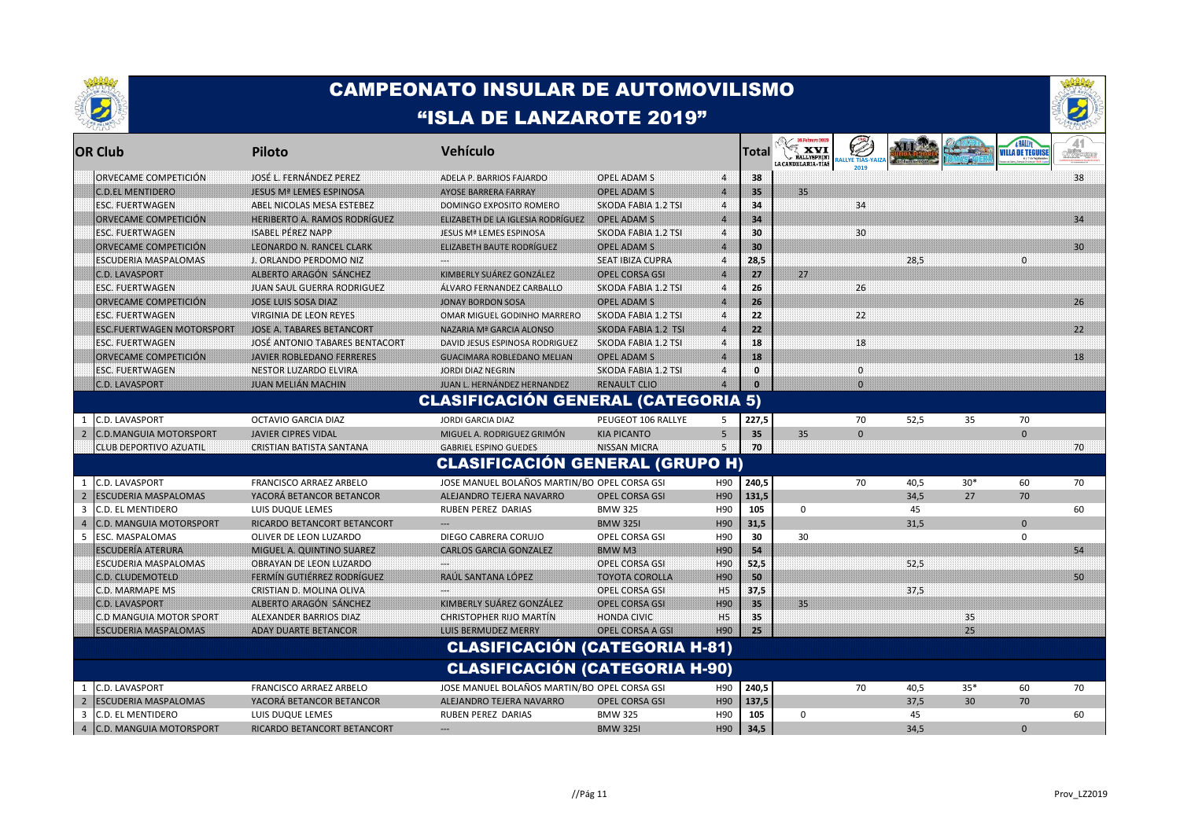



|                | <b>OR Club</b>                   | Piloto                              | Vehículo                                      |                            |                  | Total | XVI<br><b>RALLYSPRIN</b><br>LA CANDELARIA TIAS | <b>YE TIAS-Y</b> |      |       | VILLA DE TEGUISE | of Vicenn |
|----------------|----------------------------------|-------------------------------------|-----------------------------------------------|----------------------------|------------------|-------|------------------------------------------------|------------------|------|-------|------------------|-----------|
|                | ORVECAME COMPETICIÓN             | JOSÉ L. FERNÁNDEZ PEREZ             | ADELA P. BARRIOS FAJARDO                      | OPEL ADAM S                | $\overline{4}$   | 38    |                                                |                  |      |       |                  | 38        |
|                | <b>C.D.EL MENTIDERO</b>          | <b>JESUS Mª LEMES ESPINOSA</b>      | AYOSE BARRERA FARRAY                          | OPEL ADAM S                | $\overline{4}$   | 35    | 35 <sup>1</sup>                                |                  |      |       |                  |           |
|                | <b>ESC. FUERTWAGEN</b>           | ABEL NICOLAS MESA ESTEBEZ           | DOMINGO EXPOSITO ROMERO                       | SKODA FABIA 1.2 TSI        | $\boldsymbol{4}$ | 34    |                                                | 34               |      |       |                  |           |
|                | ORVECAME COMPETICION             | <b>HERIBERTO A. RAMOS RODRÍGUEZ</b> | ELIZABETH DE LA IGLESIA RODRÍGUEZ             | <b>OPEL ADAM S</b>         | $\overline{4}$   | 34    |                                                |                  |      |       |                  | 34        |
|                | <b>ESC. FUERTWAGEN</b>           | <b>ISABEL PÉREZ NAPP</b>            | JESUS Mª LEMES ESPINOSA                       | SKODA FABIA 1.2 TSI        | $\overline{4}$   | 30    |                                                | 30               |      |       |                  |           |
|                | ORVECAME COMPETICIÓN             | <b>LEONARDO N. RANCEL CLARK</b>     | <b>ELIZABETH BAUTE RODRÍGUEZ</b>              | <b>OPEL ADAM S</b>         | $\overline{4}$   | 30    |                                                |                  |      |       |                  | 30        |
|                | <b>ESCUDERIA MASPALOMAS</b>      | <b>J. ORLANDO PERDOMO NIZ</b>       |                                               | <b>SEAT IBIZA CUPRA</b>    | $\boldsymbol{A}$ | 28,5  |                                                |                  | 28.5 |       | $\Omega$         |           |
|                | <b>C.D. LAVASPORT</b>            | ALBERTO ARAGÓN SANCHEZ              | KIMBERLY SUAREZ GONZALEZ                      | <b>OPEL CORSA GSI</b>      | $\overline{4}$   | 27    | 27!                                            |                  |      |       |                  |           |
|                | <b>ESC. FUERTWAGEN</b>           | JUAN SAUL GUERRA RODRIGUEZ          | ALVARO FERNANDEZ CARBALLO                     | SKODA FABIA 1.2 TSI        | $\boldsymbol{A}$ | 26    |                                                | 26               |      |       |                  |           |
|                | ORVECAME COMPETICIÓN             | <b>JOSE LUIS SOSA DIAZ</b>          | <b>JONAY BORDON SOSA</b>                      | OPEL ADAM S                | $\overline{4}$   | 26    |                                                |                  |      |       |                  | 26        |
|                | <b>ESC. FUERTWAGEN</b>           | VIRGINIA DE LEON REYES              | OMAR MIGUEL GODINHO MARRERO                   | <b>SKODA FABIA 1.2 TSI</b> | $\overline{4}$   | 22    |                                                | 22               |      |       |                  |           |
|                | <b>ESC.FUERTWAGEN MOTORSPORT</b> | JOSE A. TABARES BETANCORT           | NAZARIA Mª GARCIA ALONSO                      | <b>SKODA FABIA 1.2 TSI</b> | $\overline{4}$   | 22    |                                                |                  |      |       |                  | 22        |
|                | <b>ESC. FUERTWAGEN</b>           | JOSE ANTONIO TABARES BENTACORT      | DAVID JESUS ESPINOSA RODRIGUEZ                | SKODA FABIA 1.2 TSI        | 4                | 18    |                                                | 18               |      |       |                  |           |
|                | ORVECAME COMPETICIÓN             | <b>JAVIER ROBLEDANO FERRERES</b>    | <b>GUACIMARA ROBLEDANO MELIAN</b>             | <b>OPEL ADAM S</b>         | $\overline{4}$   | 18    |                                                |                  |      |       |                  | 18        |
|                | <b>ESC. FUERTWAGEN</b>           | NESTOR LUZARDO ELVIRA               | JORDI DIAZ NEGRIN                             | SKODA FABIA 1.2 TSI        | 4                | n     |                                                | $\mathbf 0$      |      |       |                  |           |
|                | <b>C.D. LAVASPORT</b>            | <b>JUAN MELIAN MACHIN</b>           | JUAN L. HERNÁNDEZ HERNANDEZ                   | <b>RENAULT CLIO</b>        | $\boldsymbol{A}$ |       |                                                | $\Omega$         |      |       |                  |           |
|                |                                  |                                     | <b>CLASIFICACIÓN GENERAL (CATEGORIA 5)</b>    |                            |                  |       |                                                |                  |      |       |                  |           |
| $\mathbf{1}$   | C.D. LAVASPORT                   | OCTAVIO GARCIA DIAZ                 | <b>JORDI GARCIA DIAZ</b>                      | PEUGEOT 106 RALLYE         | 5                | 227,5 |                                                | 70               | 52,5 | 35    | 70               |           |
| $\overline{2}$ | <b>C.D.MANGUIA MOTORSPORT</b>    | <b>JAVIER CIPRES VIDAL</b>          | MIGUEL A. RODRIGUEZ GRIMÓN                    | <b>KIA PICANTO</b>         | 5                | 35    | 35                                             | $\mathbf{0}$     |      |       | $\mathbf{0}$     |           |
|                | <b>CLUB DEPORTIVO AZUATIL</b>    | <b>CRISTIAN BATISTA SANTANA</b>     | <b>GABRIEL ESPINO GUEDES</b>                  | NISSAN MICRA               | 5.               | -70   |                                                |                  |      |       |                  | 70        |
|                |                                  |                                     | <b>CLASIFICACIÓN GENERAL (GRUPO H)</b>        |                            |                  |       |                                                |                  |      |       |                  |           |
|                | <b>C.D. LAVASPORT</b>            | <b>FRANCISCO ARRAEZ ARBELO</b>      | JOSE MANUEL BOLAÑOS MARTIN/BOI OPEL CORSA GSI |                            | H90              | 240,5 |                                                | 70               | 40,5 | $30*$ | 60               | 70        |
| $\overline{2}$ | <b>ESCUDERIA MASPALOMAS</b>      | YACORÁ BETANCOR BETANCOR            | ALEJANDRO TEJERA NAVARRO                      | <b>OPEL CORSA GSI</b>      | H90              | 131,5 |                                                |                  | 34.5 | 27    | 70               |           |
| 3              | C.D. EL MENTIDERO                | LUIS DUQUE LEMES                    | RUBEN PEREZ DARIAS                            | <b>BMW 325</b>             | H90              | 105   | 0                                              |                  | 45   |       |                  | 60        |
| $\overline{a}$ | C.D. MANGUIA MOTORSPORT          | RICARDO BETANCORT BETANCORT         |                                               | <b>BMW 325I</b>            | H90              | 31,5  |                                                |                  | 31,5 |       | $\mathbf{0}$     |           |
| 5              | ESC. MASPALOMAS                  | OLIVER DE LEON LUZARDO              | DIEGO CABRERA CORUJO                          | OPEL CORSA GSI             | H90              | 30    | 30                                             |                  |      |       | 0                |           |
|                | <b>ESCUDERIA ATERURA</b>         | MIGUEL A. QUINTINO SUAREZ           | <b>CARLOS GARCIA GONZALEZ</b>                 | BMW <sub>M3</sub>          | H90              | 54    |                                                |                  |      |       |                  | 54        |
|                | <b>ESCUDERIA MASPALOMAS</b>      | OBRAYAN DE LEON LUZARDO             |                                               | OPEL CORSA GSI             | H90              | 52,5  |                                                |                  | 52,5 |       |                  |           |
|                | <b>C.D. CLUDEMOTELD</b>          | <b>FERMIN GUTTERREZ RODRIGUEZ</b>   | RAUL SANTANA LOPEZ                            | <b>TOYOTA COROLLA</b>      | H90              | 50    |                                                |                  |      |       |                  | 50.       |
|                | C.D. MARMAPE MS                  | CRISTIAN D. MOLINA OLIVA            |                                               | OPEL CORSA GSI             | <b>H5</b>        | 37,5  |                                                |                  | 37,5 |       |                  |           |
|                | <b>C.D. LAVASPORT</b>            | ALBERTO ARAGÓN SANCHEZ              | <b>KIMBERLY SUAREZ GONZALEZ</b>               | <b>OPEL CORSA GSI</b>      | H90              | 35    | 35 <sub>1</sub>                                |                  |      |       |                  |           |
|                | C.D MANGUIA MOTOR SPORT          | ALEXANDER BARRIOS DIAZ              | <b>CHRISTOPHER RIJO MARTIN</b>                | <b>HONDA CIVIC</b>         | H <sub>5</sub>   | 35    |                                                |                  |      | 35    |                  |           |
|                | <b>ESCUDERIA MASPALOMAS</b>      | <b>ADAY DUARTE BETANCOR</b>         | LUIS BERMUDEZ MERRY                           | <b>OPEL CORSA A GSI</b>    | H90              | 25    |                                                |                  |      | 25    |                  |           |
|                |                                  |                                     | <b>CLASIFICACIÓN (CATEGORIA H-81)</b>         |                            |                  |       |                                                |                  |      |       |                  |           |
|                |                                  |                                     | <b>CLASIFICACIÓN (CATEGORIA H-90)</b>         |                            |                  |       |                                                |                  |      |       |                  |           |
| 1              | C.D. LAVASPORT                   | FRANCISCO ARRAEZ ARBELO             | JOSE MANUEL BOLAÑOS MARTIN/BOI OPEL CORSA GSI |                            | H90              | 240,5 |                                                | 70               | 40,5 | $35*$ | 60               | 70        |
| $\overline{2}$ | <b>ESCUDERIA MASPALOMAS</b>      | YACORÁ BETANCOR BETANCOR            | ALEJANDRO TEJERA NAVARRO                      | <b>OPEL CORSA GSI</b>      | H90              | 137,5 |                                                |                  | 37,5 | 30    | 70               |           |
| 3              | C.D. EL MENTIDERO                | LUIS DUQUE LEMES                    | <b>RUBEN PEREZ DARIAS</b>                     | <b>BMW 325</b>             | H90              | 105   | $\Omega$                                       |                  | 45   |       |                  | 60        |
|                | 4 C.D. MANGUIA MOTORSPORT        | RICARDO BETANCORT BETANCORT         |                                               | <b>BMW 325I</b>            | H90              | 34,5  |                                                |                  | 34,5 |       | $\mathbf{0}$     |           |